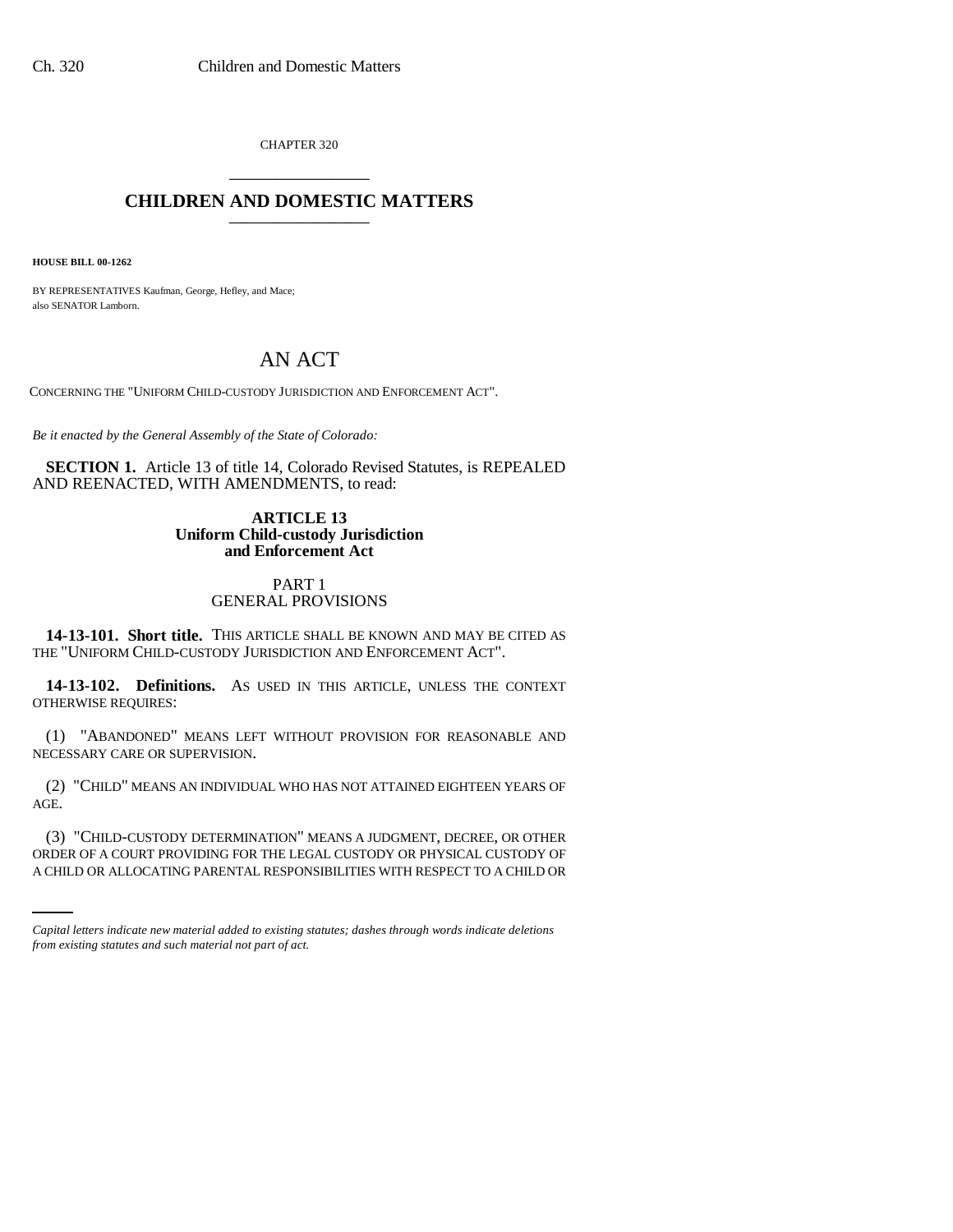CHAPTER 320 \_\_\_\_\_\_\_\_\_\_\_\_\_\_\_

# **CHILDREN AND DOMESTIC MATTERS** \_\_\_\_\_\_\_\_\_\_\_\_\_\_\_

**HOUSE BILL 00-1262** 

BY REPRESENTATIVES Kaufman, George, Hefley, and Mace; also SENATOR Lamborn.

# AN ACT

CONCERNING THE "UNIFORM CHILD-CUSTODY JURISDICTION AND ENFORCEMENT ACT".

*Be it enacted by the General Assembly of the State of Colorado:*

**SECTION 1.** Article 13 of title 14, Colorado Revised Statutes, is REPEALED AND REENACTED, WITH AMENDMENTS, to read:

### **ARTICLE 13 Uniform Child-custody Jurisdiction and Enforcement Act**

### PART 1 GENERAL PROVISIONS

**14-13-101. Short title.** THIS ARTICLE SHALL BE KNOWN AND MAY BE CITED AS THE "UNIFORM CHILD-CUSTODY JURISDICTION AND ENFORCEMENT ACT".

**14-13-102. Definitions.** AS USED IN THIS ARTICLE, UNLESS THE CONTEXT OTHERWISE REQUIRES:

(1) "ABANDONED" MEANS LEFT WITHOUT PROVISION FOR REASONABLE AND NECESSARY CARE OR SUPERVISION.

(2) "CHILD" MEANS AN INDIVIDUAL WHO HAS NOT ATTAINED EIGHTEEN YEARS OF AGE.

(3) "CHILD-CUSTODY DETERMINATION" MEANS A JUDGMENT, DECREE, OR OTHER ORDER OF A COURT PROVIDING FOR THE LEGAL CUSTODY OR PHYSICAL CUSTODY OF A CHILD OR ALLOCATING PARENTAL RESPONSIBILITIES WITH RESPECT TO A CHILD OR

*Capital letters indicate new material added to existing statutes; dashes through words indicate deletions from existing statutes and such material not part of act.*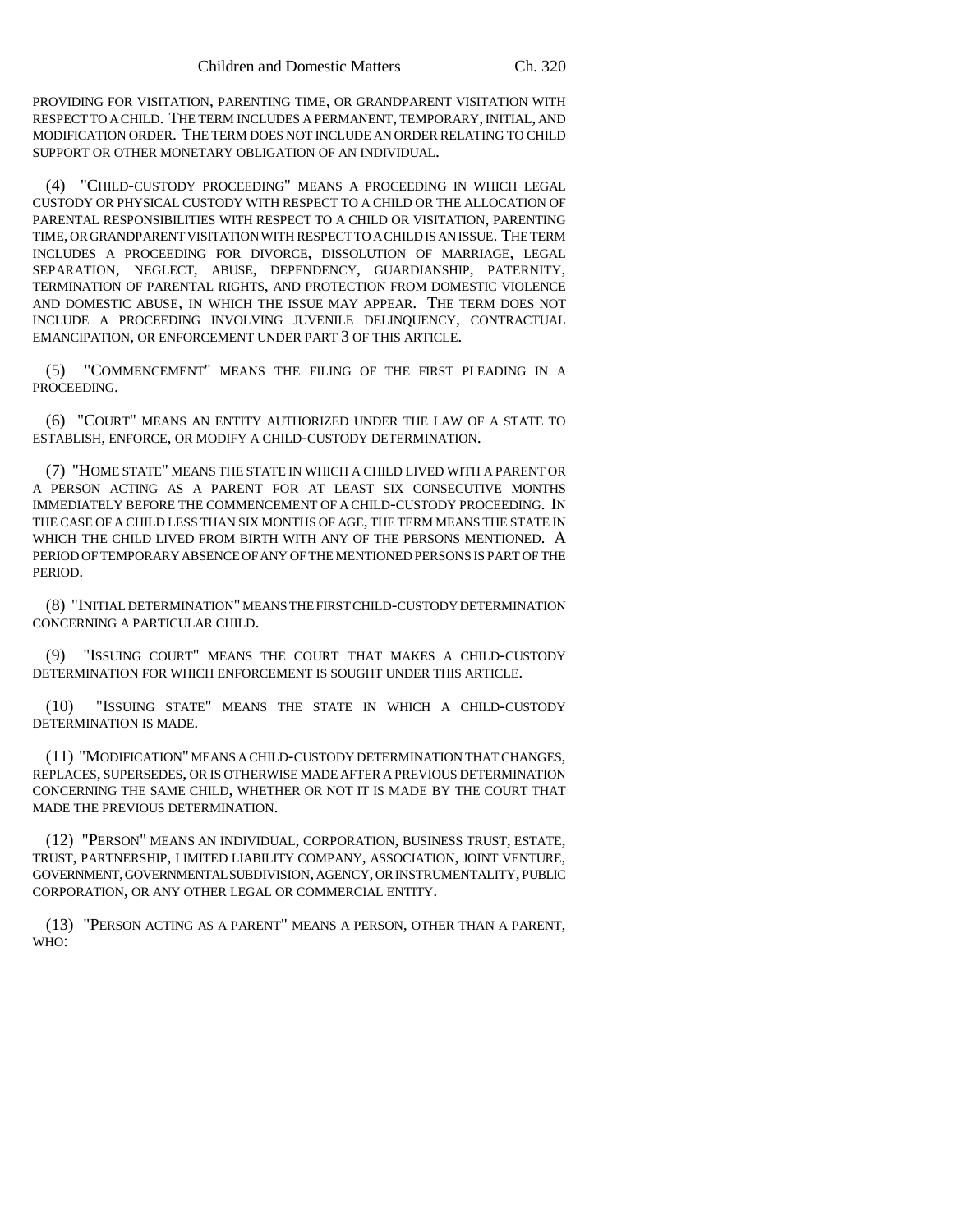PROVIDING FOR VISITATION, PARENTING TIME, OR GRANDPARENT VISITATION WITH RESPECT TO A CHILD. THE TERM INCLUDES A PERMANENT, TEMPORARY, INITIAL, AND MODIFICATION ORDER. THE TERM DOES NOT INCLUDE AN ORDER RELATING TO CHILD SUPPORT OR OTHER MONETARY OBLIGATION OF AN INDIVIDUAL.

(4) "CHILD-CUSTODY PROCEEDING" MEANS A PROCEEDING IN WHICH LEGAL CUSTODY OR PHYSICAL CUSTODY WITH RESPECT TO A CHILD OR THE ALLOCATION OF PARENTAL RESPONSIBILITIES WITH RESPECT TO A CHILD OR VISITATION, PARENTING TIME, OR GRANDPARENT VISITATION WITH RESPECT TO A CHILD IS AN ISSUE. THE TERM INCLUDES A PROCEEDING FOR DIVORCE, DISSOLUTION OF MARRIAGE, LEGAL SEPARATION, NEGLECT, ABUSE, DEPENDENCY, GUARDIANSHIP, PATERNITY, TERMINATION OF PARENTAL RIGHTS, AND PROTECTION FROM DOMESTIC VIOLENCE AND DOMESTIC ABUSE, IN WHICH THE ISSUE MAY APPEAR. THE TERM DOES NOT INCLUDE A PROCEEDING INVOLVING JUVENILE DELINQUENCY, CONTRACTUAL EMANCIPATION, OR ENFORCEMENT UNDER PART 3 OF THIS ARTICLE.

(5) "COMMENCEMENT" MEANS THE FILING OF THE FIRST PLEADING IN A PROCEEDING.

(6) "COURT" MEANS AN ENTITY AUTHORIZED UNDER THE LAW OF A STATE TO ESTABLISH, ENFORCE, OR MODIFY A CHILD-CUSTODY DETERMINATION.

(7) "HOME STATE" MEANS THE STATE IN WHICH A CHILD LIVED WITH A PARENT OR A PERSON ACTING AS A PARENT FOR AT LEAST SIX CONSECUTIVE MONTHS IMMEDIATELY BEFORE THE COMMENCEMENT OF A CHILD-CUSTODY PROCEEDING. IN THE CASE OF A CHILD LESS THAN SIX MONTHS OF AGE, THE TERM MEANS THE STATE IN WHICH THE CHILD LIVED FROM BIRTH WITH ANY OF THE PERSONS MENTIONED. A PERIOD OF TEMPORARY ABSENCE OF ANY OF THE MENTIONED PERSONS IS PART OF THE PERIOD.

(8) "INITIAL DETERMINATION" MEANS THE FIRST CHILD-CUSTODY DETERMINATION CONCERNING A PARTICULAR CHILD.

(9) "ISSUING COURT" MEANS THE COURT THAT MAKES A CHILD-CUSTODY DETERMINATION FOR WHICH ENFORCEMENT IS SOUGHT UNDER THIS ARTICLE.

(10) "ISSUING STATE" MEANS THE STATE IN WHICH A CHILD-CUSTODY DETERMINATION IS MADE.

(11) "MODIFICATION" MEANS A CHILD-CUSTODY DETERMINATION THAT CHANGES, REPLACES, SUPERSEDES, OR IS OTHERWISE MADE AFTER A PREVIOUS DETERMINATION CONCERNING THE SAME CHILD, WHETHER OR NOT IT IS MADE BY THE COURT THAT MADE THE PREVIOUS DETERMINATION.

(12) "PERSON" MEANS AN INDIVIDUAL, CORPORATION, BUSINESS TRUST, ESTATE, TRUST, PARTNERSHIP, LIMITED LIABILITY COMPANY, ASSOCIATION, JOINT VENTURE, GOVERNMENT, GOVERNMENTAL SUBDIVISION, AGENCY, OR INSTRUMENTALITY, PUBLIC CORPORATION, OR ANY OTHER LEGAL OR COMMERCIAL ENTITY.

(13) "PERSON ACTING AS A PARENT" MEANS A PERSON, OTHER THAN A PARENT, WHO: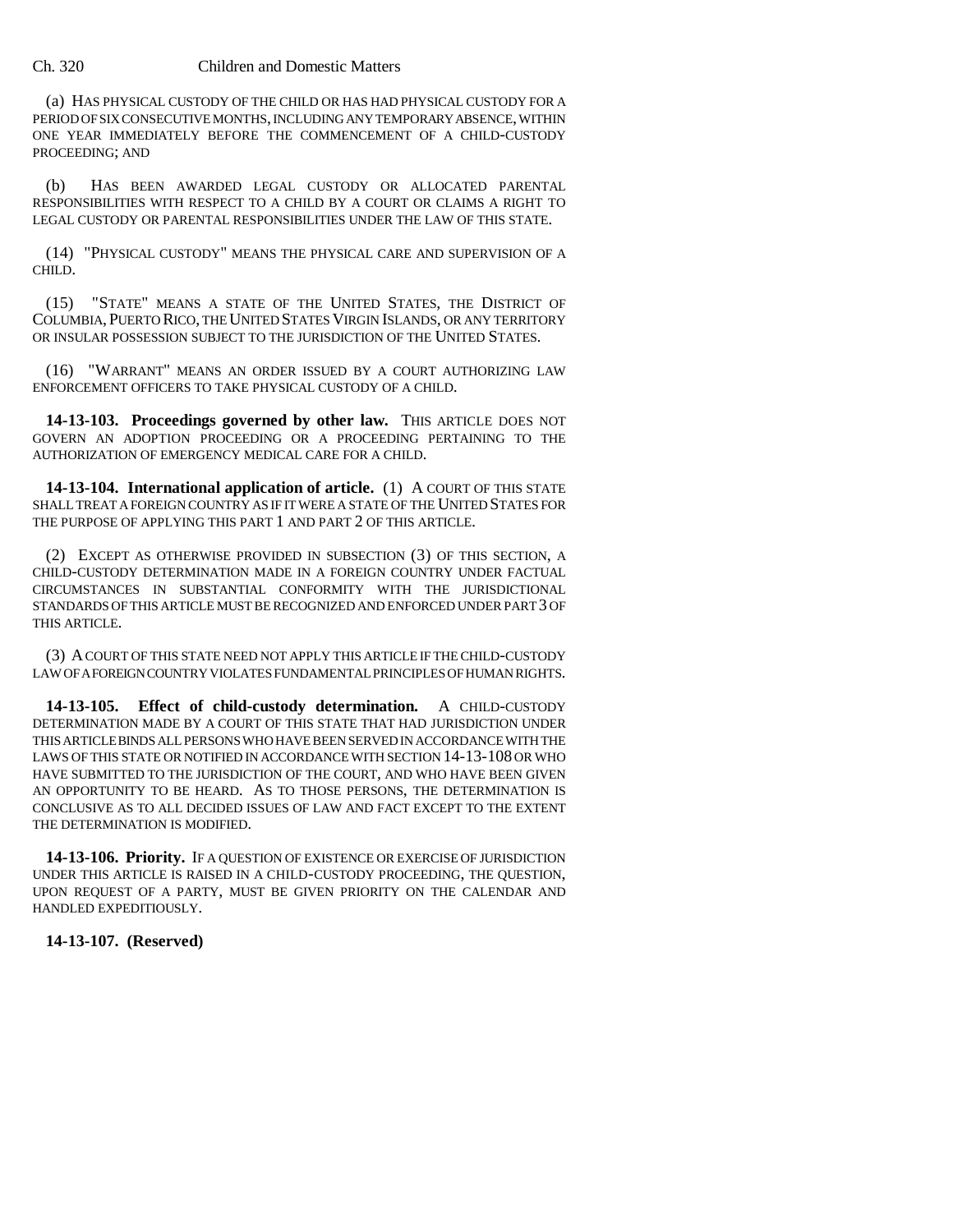#### Ch. 320 Children and Domestic Matters

(a) HAS PHYSICAL CUSTODY OF THE CHILD OR HAS HAD PHYSICAL CUSTODY FOR A PERIOD OF SIX CONSECUTIVE MONTHS, INCLUDING ANY TEMPORARY ABSENCE, WITHIN ONE YEAR IMMEDIATELY BEFORE THE COMMENCEMENT OF A CHILD-CUSTODY PROCEEDING; AND

(b) HAS BEEN AWARDED LEGAL CUSTODY OR ALLOCATED PARENTAL RESPONSIBILITIES WITH RESPECT TO A CHILD BY A COURT OR CLAIMS A RIGHT TO LEGAL CUSTODY OR PARENTAL RESPONSIBILITIES UNDER THE LAW OF THIS STATE.

(14) "PHYSICAL CUSTODY" MEANS THE PHYSICAL CARE AND SUPERVISION OF A CHILD.

(15) "STATE" MEANS A STATE OF THE UNITED STATES, THE DISTRICT OF COLUMBIA,PUERTO RICO, THE UNITED STATES VIRGIN ISLANDS, OR ANY TERRITORY OR INSULAR POSSESSION SUBJECT TO THE JURISDICTION OF THE UNITED STATES.

(16) "WARRANT" MEANS AN ORDER ISSUED BY A COURT AUTHORIZING LAW ENFORCEMENT OFFICERS TO TAKE PHYSICAL CUSTODY OF A CHILD.

**14-13-103. Proceedings governed by other law.** THIS ARTICLE DOES NOT GOVERN AN ADOPTION PROCEEDING OR A PROCEEDING PERTAINING TO THE AUTHORIZATION OF EMERGENCY MEDICAL CARE FOR A CHILD.

**14-13-104. International application of article.** (1) A COURT OF THIS STATE SHALL TREAT A FOREIGN COUNTRY AS IF IT WERE A STATE OF THE UNITED STATES FOR THE PURPOSE OF APPLYING THIS PART 1 AND PART 2 OF THIS ARTICLE.

(2) EXCEPT AS OTHERWISE PROVIDED IN SUBSECTION (3) OF THIS SECTION, A CHILD-CUSTODY DETERMINATION MADE IN A FOREIGN COUNTRY UNDER FACTUAL CIRCUMSTANCES IN SUBSTANTIAL CONFORMITY WITH THE JURISDICTIONAL STANDARDS OF THIS ARTICLE MUST BE RECOGNIZED AND ENFORCED UNDER PART 3 OF THIS ARTICLE.

(3) A COURT OF THIS STATE NEED NOT APPLY THIS ARTICLE IF THE CHILD-CUSTODY LAW OF A FOREIGN COUNTRY VIOLATES FUNDAMENTAL PRINCIPLES OF HUMAN RIGHTS.

**14-13-105. Effect of child-custody determination.** A CHILD-CUSTODY DETERMINATION MADE BY A COURT OF THIS STATE THAT HAD JURISDICTION UNDER THIS ARTICLE BINDS ALL PERSONS WHO HAVE BEEN SERVED IN ACCORDANCE WITH THE LAWS OF THIS STATE OR NOTIFIED IN ACCORDANCE WITH SECTION 14-13-108 OR WHO HAVE SUBMITTED TO THE JURISDICTION OF THE COURT, AND WHO HAVE BEEN GIVEN AN OPPORTUNITY TO BE HEARD. AS TO THOSE PERSONS, THE DETERMINATION IS CONCLUSIVE AS TO ALL DECIDED ISSUES OF LAW AND FACT EXCEPT TO THE EXTENT THE DETERMINATION IS MODIFIED.

**14-13-106. Priority.** IF A QUESTION OF EXISTENCE OR EXERCISE OF JURISDICTION UNDER THIS ARTICLE IS RAISED IN A CHILD-CUSTODY PROCEEDING, THE QUESTION, UPON REQUEST OF A PARTY, MUST BE GIVEN PRIORITY ON THE CALENDAR AND HANDLED EXPEDITIOUSLY.

## **14-13-107. (Reserved)**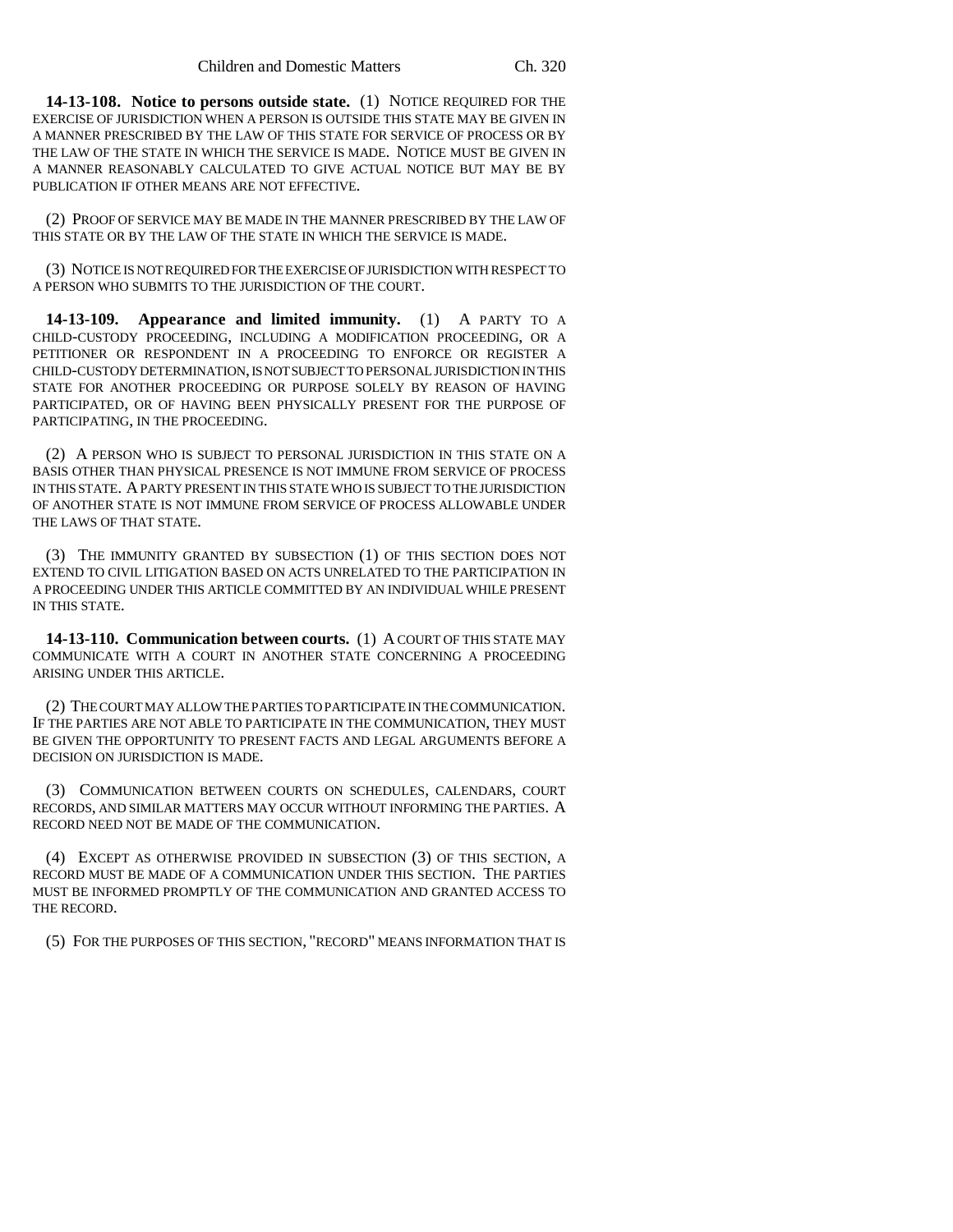**14-13-108. Notice to persons outside state.** (1) NOTICE REQUIRED FOR THE EXERCISE OF JURISDICTION WHEN A PERSON IS OUTSIDE THIS STATE MAY BE GIVEN IN A MANNER PRESCRIBED BY THE LAW OF THIS STATE FOR SERVICE OF PROCESS OR BY THE LAW OF THE STATE IN WHICH THE SERVICE IS MADE. NOTICE MUST BE GIVEN IN A MANNER REASONABLY CALCULATED TO GIVE ACTUAL NOTICE BUT MAY BE BY PUBLICATION IF OTHER MEANS ARE NOT EFFECTIVE.

(2) PROOF OF SERVICE MAY BE MADE IN THE MANNER PRESCRIBED BY THE LAW OF THIS STATE OR BY THE LAW OF THE STATE IN WHICH THE SERVICE IS MADE.

(3) NOTICE IS NOT REQUIRED FOR THE EXERCISE OF JURISDICTION WITH RESPECT TO A PERSON WHO SUBMITS TO THE JURISDICTION OF THE COURT.

**14-13-109. Appearance and limited immunity.** (1) A PARTY TO A CHILD-CUSTODY PROCEEDING, INCLUDING A MODIFICATION PROCEEDING, OR A PETITIONER OR RESPONDENT IN A PROCEEDING TO ENFORCE OR REGISTER A CHILD-CUSTODY DETERMINATION, IS NOT SUBJECT TO PERSONAL JURISDICTION IN THIS STATE FOR ANOTHER PROCEEDING OR PURPOSE SOLELY BY REASON OF HAVING PARTICIPATED, OR OF HAVING BEEN PHYSICALLY PRESENT FOR THE PURPOSE OF PARTICIPATING, IN THE PROCEEDING.

(2) A PERSON WHO IS SUBJECT TO PERSONAL JURISDICTION IN THIS STATE ON A BASIS OTHER THAN PHYSICAL PRESENCE IS NOT IMMUNE FROM SERVICE OF PROCESS IN THIS STATE. A PARTY PRESENT IN THIS STATE WHO IS SUBJECT TO THE JURISDICTION OF ANOTHER STATE IS NOT IMMUNE FROM SERVICE OF PROCESS ALLOWABLE UNDER THE LAWS OF THAT STATE.

(3) THE IMMUNITY GRANTED BY SUBSECTION (1) OF THIS SECTION DOES NOT EXTEND TO CIVIL LITIGATION BASED ON ACTS UNRELATED TO THE PARTICIPATION IN A PROCEEDING UNDER THIS ARTICLE COMMITTED BY AN INDIVIDUAL WHILE PRESENT IN THIS STATE.

**14-13-110. Communication between courts.** (1) A COURT OF THIS STATE MAY COMMUNICATE WITH A COURT IN ANOTHER STATE CONCERNING A PROCEEDING ARISING UNDER THIS ARTICLE.

(2) THE COURT MAY ALLOW THE PARTIES TO PARTICIPATE IN THE COMMUNICATION. IF THE PARTIES ARE NOT ABLE TO PARTICIPATE IN THE COMMUNICATION, THEY MUST BE GIVEN THE OPPORTUNITY TO PRESENT FACTS AND LEGAL ARGUMENTS BEFORE A DECISION ON JURISDICTION IS MADE.

(3) COMMUNICATION BETWEEN COURTS ON SCHEDULES, CALENDARS, COURT RECORDS, AND SIMILAR MATTERS MAY OCCUR WITHOUT INFORMING THE PARTIES. A RECORD NEED NOT BE MADE OF THE COMMUNICATION.

(4) EXCEPT AS OTHERWISE PROVIDED IN SUBSECTION (3) OF THIS SECTION, A RECORD MUST BE MADE OF A COMMUNICATION UNDER THIS SECTION. THE PARTIES MUST BE INFORMED PROMPTLY OF THE COMMUNICATION AND GRANTED ACCESS TO THE RECORD.

(5) FOR THE PURPOSES OF THIS SECTION, "RECORD" MEANS INFORMATION THAT IS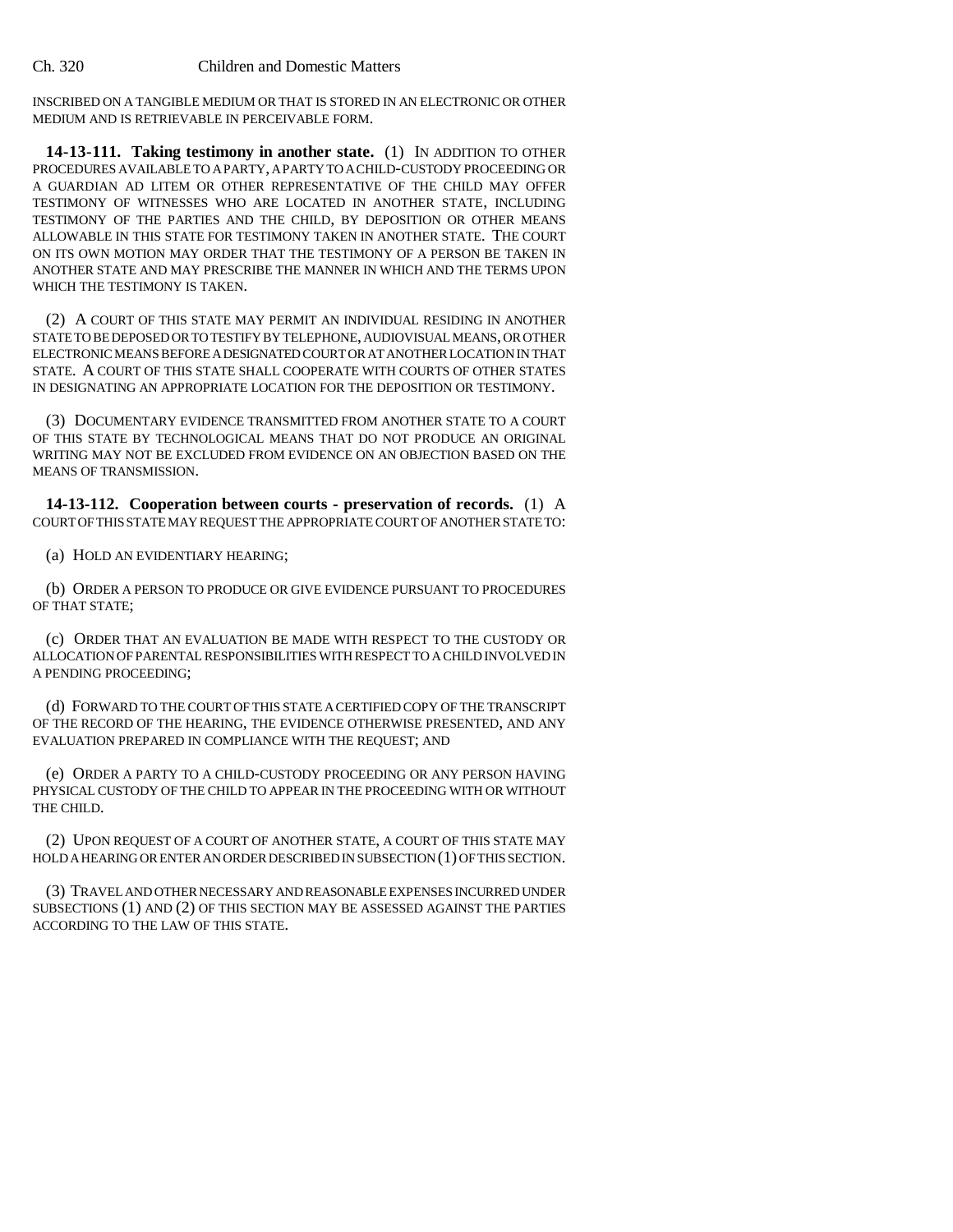INSCRIBED ON A TANGIBLE MEDIUM OR THAT IS STORED IN AN ELECTRONIC OR OTHER MEDIUM AND IS RETRIEVABLE IN PERCEIVABLE FORM.

**14-13-111. Taking testimony in another state.** (1) IN ADDITION TO OTHER PROCEDURES AVAILABLE TO A PARTY, A PARTY TO A CHILD-CUSTODY PROCEEDING OR A GUARDIAN AD LITEM OR OTHER REPRESENTATIVE OF THE CHILD MAY OFFER TESTIMONY OF WITNESSES WHO ARE LOCATED IN ANOTHER STATE, INCLUDING TESTIMONY OF THE PARTIES AND THE CHILD, BY DEPOSITION OR OTHER MEANS ALLOWABLE IN THIS STATE FOR TESTIMONY TAKEN IN ANOTHER STATE. THE COURT ON ITS OWN MOTION MAY ORDER THAT THE TESTIMONY OF A PERSON BE TAKEN IN ANOTHER STATE AND MAY PRESCRIBE THE MANNER IN WHICH AND THE TERMS UPON WHICH THE TESTIMONY IS TAKEN.

(2) A COURT OF THIS STATE MAY PERMIT AN INDIVIDUAL RESIDING IN ANOTHER STATE TO BE DEPOSED OR TO TESTIFY BY TELEPHONE, AUDIOVISUAL MEANS, OR OTHER ELECTRONIC MEANS BEFORE A DESIGNATED COURT OR AT ANOTHER LOCATION IN THAT STATE. A COURT OF THIS STATE SHALL COOPERATE WITH COURTS OF OTHER STATES IN DESIGNATING AN APPROPRIATE LOCATION FOR THE DEPOSITION OR TESTIMONY.

(3) DOCUMENTARY EVIDENCE TRANSMITTED FROM ANOTHER STATE TO A COURT OF THIS STATE BY TECHNOLOGICAL MEANS THAT DO NOT PRODUCE AN ORIGINAL WRITING MAY NOT BE EXCLUDED FROM EVIDENCE ON AN OBJECTION BASED ON THE MEANS OF TRANSMISSION.

**14-13-112. Cooperation between courts - preservation of records.** (1) A COURT OF THIS STATE MAY REQUEST THE APPROPRIATE COURT OF ANOTHER STATE TO:

(a) HOLD AN EVIDENTIARY HEARING;

(b) ORDER A PERSON TO PRODUCE OR GIVE EVIDENCE PURSUANT TO PROCEDURES OF THAT STATE;

(c) ORDER THAT AN EVALUATION BE MADE WITH RESPECT TO THE CUSTODY OR ALLOCATION OF PARENTAL RESPONSIBILITIES WITH RESPECT TO A CHILD INVOLVED IN A PENDING PROCEEDING;

(d) FORWARD TO THE COURT OF THIS STATE A CERTIFIED COPY OF THE TRANSCRIPT OF THE RECORD OF THE HEARING, THE EVIDENCE OTHERWISE PRESENTED, AND ANY EVALUATION PREPARED IN COMPLIANCE WITH THE REQUEST; AND

(e) ORDER A PARTY TO A CHILD-CUSTODY PROCEEDING OR ANY PERSON HAVING PHYSICAL CUSTODY OF THE CHILD TO APPEAR IN THE PROCEEDING WITH OR WITHOUT THE CHILD.

(2) UPON REQUEST OF A COURT OF ANOTHER STATE, A COURT OF THIS STATE MAY HOLD A HEARING OR ENTER AN ORDER DESCRIBED IN SUBSECTION (1) OF THIS SECTION.

(3) TRAVEL AND OTHER NECESSARY AND REASONABLE EXPENSES INCURRED UNDER SUBSECTIONS (1) AND (2) OF THIS SECTION MAY BE ASSESSED AGAINST THE PARTIES ACCORDING TO THE LAW OF THIS STATE.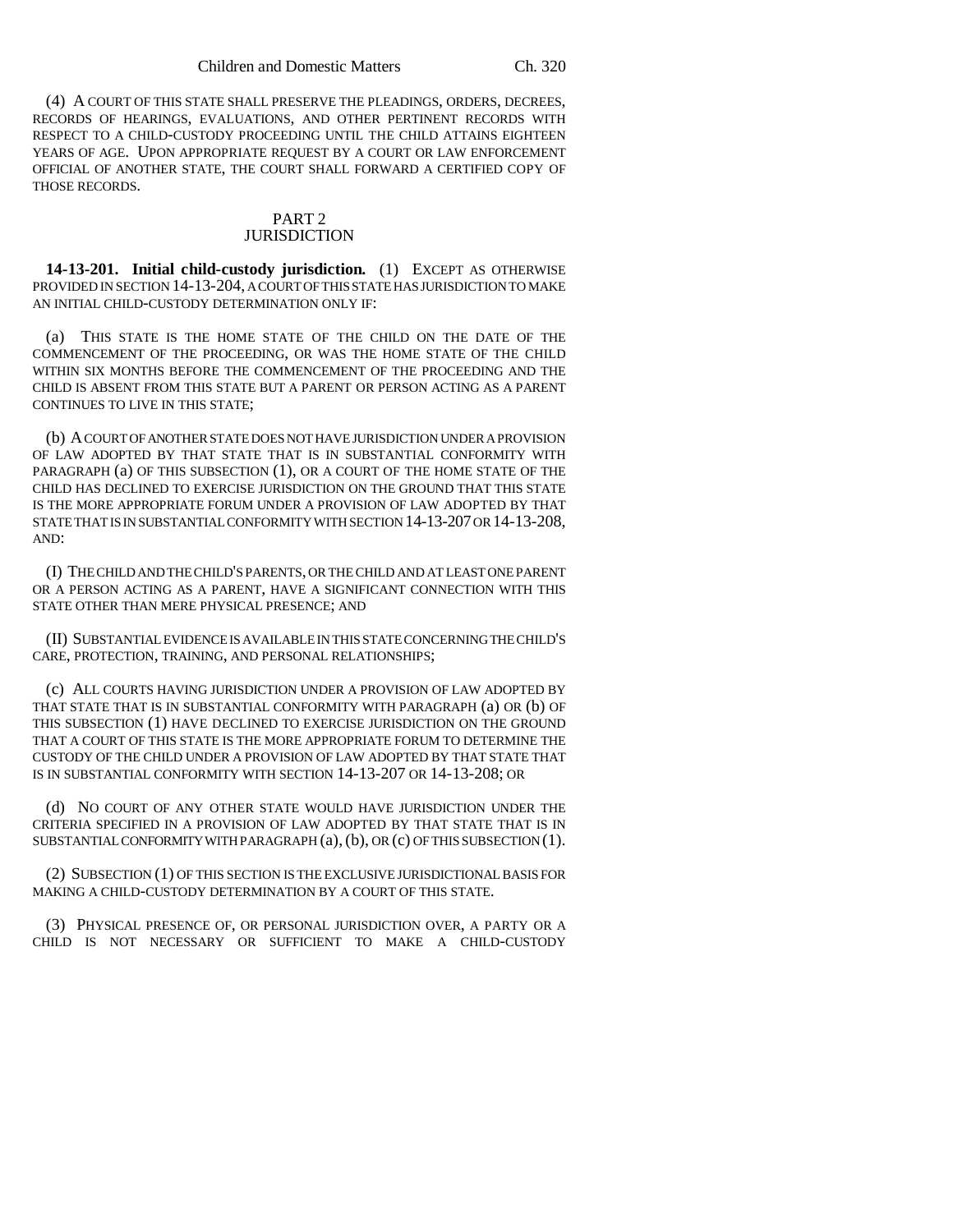(4) A COURT OF THIS STATE SHALL PRESERVE THE PLEADINGS, ORDERS, DECREES, RECORDS OF HEARINGS, EVALUATIONS, AND OTHER PERTINENT RECORDS WITH RESPECT TO A CHILD-CUSTODY PROCEEDING UNTIL THE CHILD ATTAINS EIGHTEEN YEARS OF AGE. UPON APPROPRIATE REQUEST BY A COURT OR LAW ENFORCEMENT OFFICIAL OF ANOTHER STATE, THE COURT SHALL FORWARD A CERTIFIED COPY OF THOSE RECORDS.

#### PART 2 **JURISDICTION**

**14-13-201. Initial child-custody jurisdiction.** (1) EXCEPT AS OTHERWISE PROVIDED IN SECTION 14-13-204, A COURT OF THIS STATE HAS JURISDICTION TO MAKE AN INITIAL CHILD-CUSTODY DETERMINATION ONLY IF:

(a) THIS STATE IS THE HOME STATE OF THE CHILD ON THE DATE OF THE COMMENCEMENT OF THE PROCEEDING, OR WAS THE HOME STATE OF THE CHILD WITHIN SIX MONTHS BEFORE THE COMMENCEMENT OF THE PROCEEDING AND THE CHILD IS ABSENT FROM THIS STATE BUT A PARENT OR PERSON ACTING AS A PARENT CONTINUES TO LIVE IN THIS STATE;

(b) A COURT OF ANOTHER STATE DOES NOT HAVE JURISDICTION UNDER A PROVISION OF LAW ADOPTED BY THAT STATE THAT IS IN SUBSTANTIAL CONFORMITY WITH PARAGRAPH (a) OF THIS SUBSECTION (1), OR A COURT OF THE HOME STATE OF THE CHILD HAS DECLINED TO EXERCISE JURISDICTION ON THE GROUND THAT THIS STATE IS THE MORE APPROPRIATE FORUM UNDER A PROVISION OF LAW ADOPTED BY THAT STATE THAT IS IN SUBSTANTIAL CONFORMITY WITH SECTION 14-13-207 OR 14-13-208, AND:

(I) THE CHILD AND THE CHILD'S PARENTS, OR THE CHILD AND AT LEAST ONE PARENT OR A PERSON ACTING AS A PARENT, HAVE A SIGNIFICANT CONNECTION WITH THIS STATE OTHER THAN MERE PHYSICAL PRESENCE; AND

(II) SUBSTANTIAL EVIDENCE IS AVAILABLE IN THIS STATE CONCERNING THE CHILD'S CARE, PROTECTION, TRAINING, AND PERSONAL RELATIONSHIPS;

(c) ALL COURTS HAVING JURISDICTION UNDER A PROVISION OF LAW ADOPTED BY THAT STATE THAT IS IN SUBSTANTIAL CONFORMITY WITH PARAGRAPH (a) OR (b) OF THIS SUBSECTION (1) HAVE DECLINED TO EXERCISE JURISDICTION ON THE GROUND THAT A COURT OF THIS STATE IS THE MORE APPROPRIATE FORUM TO DETERMINE THE CUSTODY OF THE CHILD UNDER A PROVISION OF LAW ADOPTED BY THAT STATE THAT IS IN SUBSTANTIAL CONFORMITY WITH SECTION 14-13-207 OR 14-13-208; OR

(d) NO COURT OF ANY OTHER STATE WOULD HAVE JURISDICTION UNDER THE CRITERIA SPECIFIED IN A PROVISION OF LAW ADOPTED BY THAT STATE THAT IS IN SUBSTANTIAL CONFORMITY WITH PARAGRAPH (a), (b), OR (c) OF THIS SUBSECTION (1).

(2) SUBSECTION (1) OF THIS SECTION IS THE EXCLUSIVE JURISDICTIONAL BASIS FOR MAKING A CHILD-CUSTODY DETERMINATION BY A COURT OF THIS STATE.

(3) PHYSICAL PRESENCE OF, OR PERSONAL JURISDICTION OVER, A PARTY OR A CHILD IS NOT NECESSARY OR SUFFICIENT TO MAKE A CHILD-CUSTODY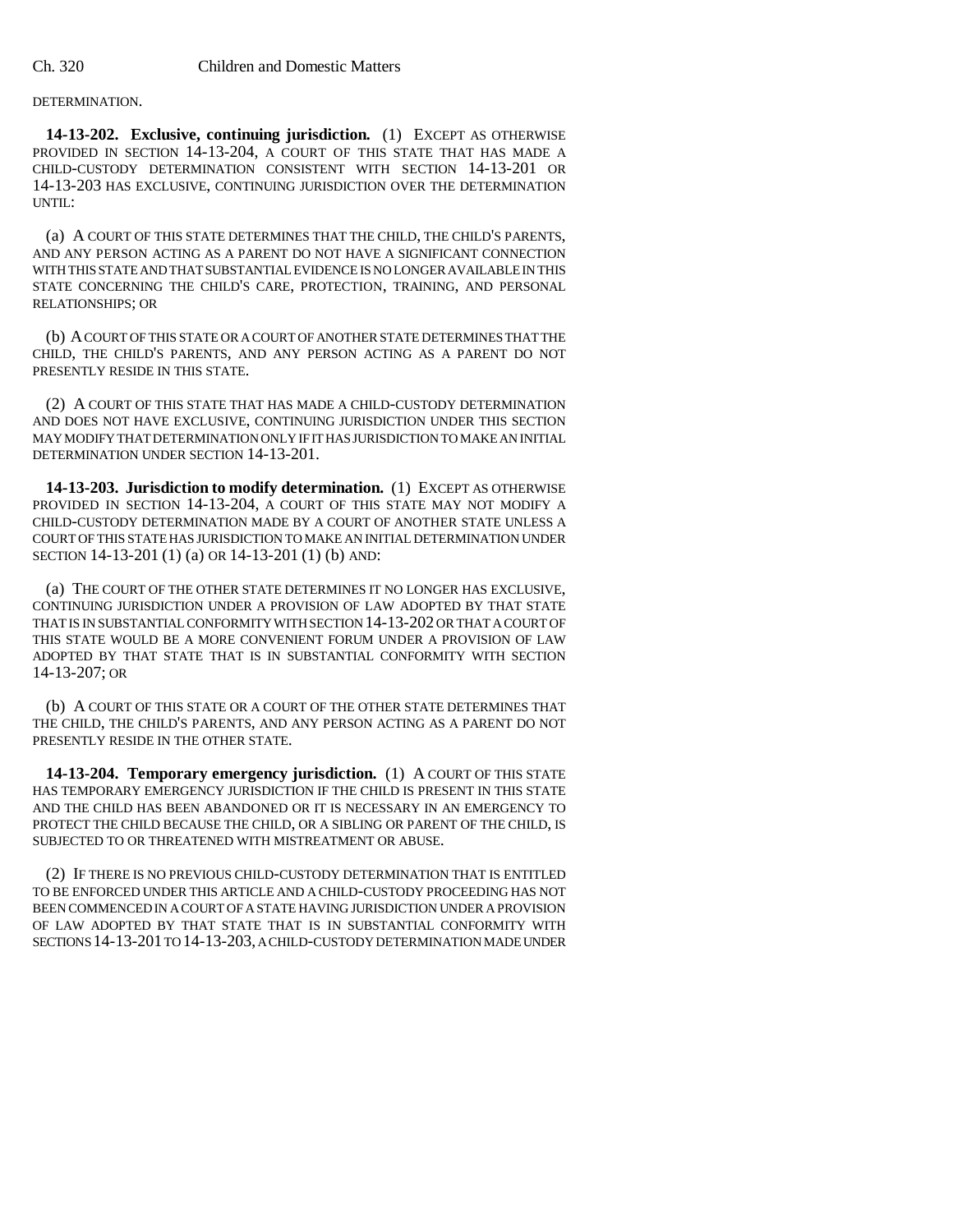#### DETERMINATION.

**14-13-202. Exclusive, continuing jurisdiction.** (1) EXCEPT AS OTHERWISE PROVIDED IN SECTION 14-13-204, A COURT OF THIS STATE THAT HAS MADE A CHILD-CUSTODY DETERMINATION CONSISTENT WITH SECTION 14-13-201 OR 14-13-203 HAS EXCLUSIVE, CONTINUING JURISDICTION OVER THE DETERMINATION UNTIL:

(a) A COURT OF THIS STATE DETERMINES THAT THE CHILD, THE CHILD'S PARENTS, AND ANY PERSON ACTING AS A PARENT DO NOT HAVE A SIGNIFICANT CONNECTION WITH THIS STATE AND THAT SUBSTANTIAL EVIDENCE IS NO LONGER AVAILABLE IN THIS STATE CONCERNING THE CHILD'S CARE, PROTECTION, TRAINING, AND PERSONAL RELATIONSHIPS; OR

(b) A COURT OF THIS STATE OR A COURT OF ANOTHER STATE DETERMINES THAT THE CHILD, THE CHILD'S PARENTS, AND ANY PERSON ACTING AS A PARENT DO NOT PRESENTLY RESIDE IN THIS STATE.

(2) A COURT OF THIS STATE THAT HAS MADE A CHILD-CUSTODY DETERMINATION AND DOES NOT HAVE EXCLUSIVE, CONTINUING JURISDICTION UNDER THIS SECTION MAY MODIFY THAT DETERMINATION ONLY IF IT HAS JURISDICTION TO MAKE AN INITIAL DETERMINATION UNDER SECTION 14-13-201.

**14-13-203. Jurisdiction to modify determination.** (1) EXCEPT AS OTHERWISE PROVIDED IN SECTION 14-13-204, A COURT OF THIS STATE MAY NOT MODIFY A CHILD-CUSTODY DETERMINATION MADE BY A COURT OF ANOTHER STATE UNLESS A COURT OF THIS STATE HAS JURISDICTION TO MAKE AN INITIAL DETERMINATION UNDER SECTION 14-13-201 (1) (a) OR 14-13-201 (1) (b) AND:

(a) THE COURT OF THE OTHER STATE DETERMINES IT NO LONGER HAS EXCLUSIVE, CONTINUING JURISDICTION UNDER A PROVISION OF LAW ADOPTED BY THAT STATE THAT IS IN SUBSTANTIAL CONFORMITY WITH SECTION 14-13-202 OR THAT A COURT OF THIS STATE WOULD BE A MORE CONVENIENT FORUM UNDER A PROVISION OF LAW ADOPTED BY THAT STATE THAT IS IN SUBSTANTIAL CONFORMITY WITH SECTION 14-13-207; OR

(b) A COURT OF THIS STATE OR A COURT OF THE OTHER STATE DETERMINES THAT THE CHILD, THE CHILD'S PARENTS, AND ANY PERSON ACTING AS A PARENT DO NOT PRESENTLY RESIDE IN THE OTHER STATE.

**14-13-204. Temporary emergency jurisdiction.** (1) A COURT OF THIS STATE HAS TEMPORARY EMERGENCY JURISDICTION IF THE CHILD IS PRESENT IN THIS STATE AND THE CHILD HAS BEEN ABANDONED OR IT IS NECESSARY IN AN EMERGENCY TO PROTECT THE CHILD BECAUSE THE CHILD, OR A SIBLING OR PARENT OF THE CHILD, IS SUBJECTED TO OR THREATENED WITH MISTREATMENT OR ABUSE.

(2) IF THERE IS NO PREVIOUS CHILD-CUSTODY DETERMINATION THAT IS ENTITLED TO BE ENFORCED UNDER THIS ARTICLE AND A CHILD-CUSTODY PROCEEDING HAS NOT BEEN COMMENCED IN A COURT OF A STATE HAVING JURISDICTION UNDER A PROVISION OF LAW ADOPTED BY THAT STATE THAT IS IN SUBSTANTIAL CONFORMITY WITH SECTIONS 14-13-201 TO 14-13-203, A CHILD-CUSTODY DETERMINATION MADE UNDER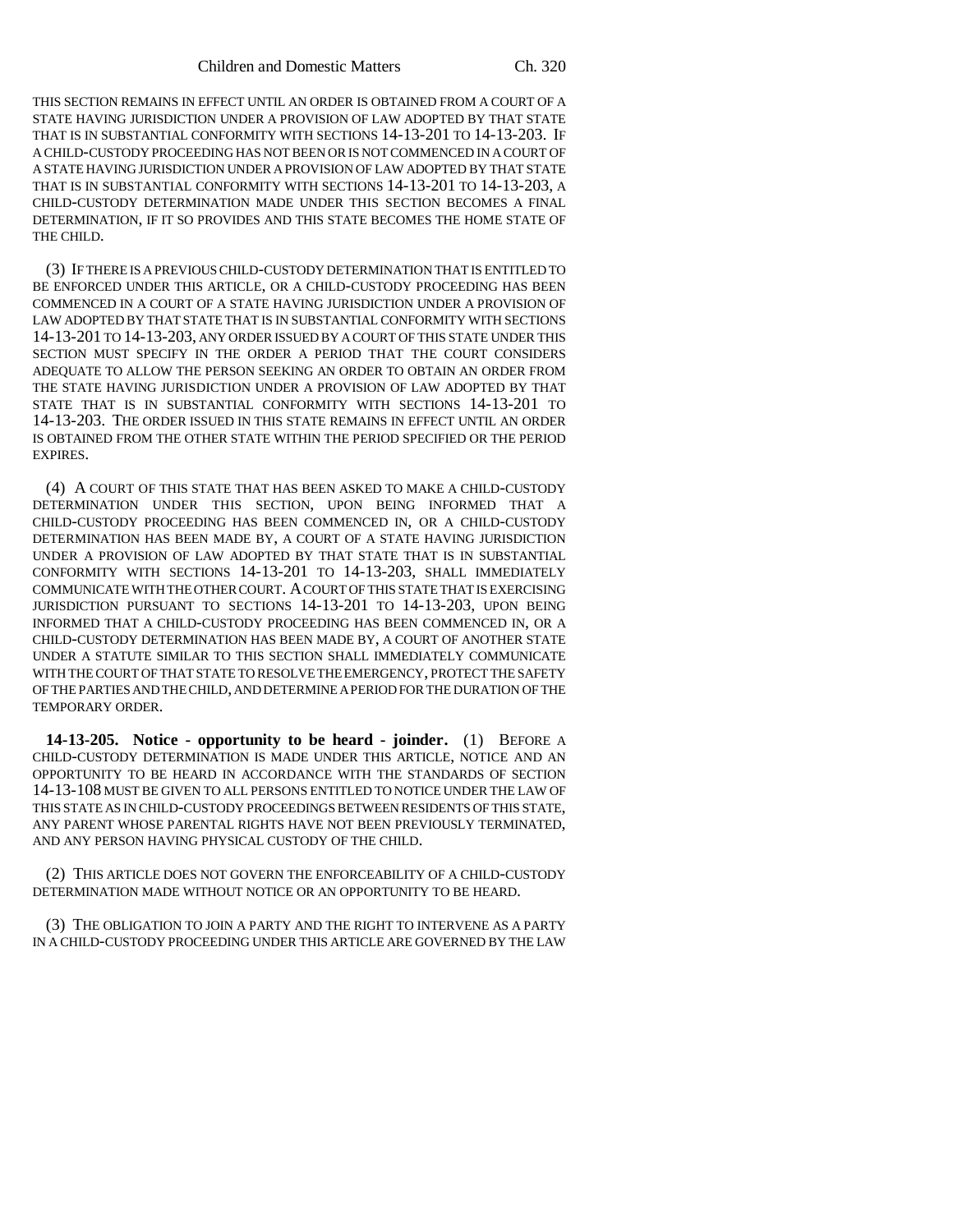THIS SECTION REMAINS IN EFFECT UNTIL AN ORDER IS OBTAINED FROM A COURT OF A STATE HAVING JURISDICTION UNDER A PROVISION OF LAW ADOPTED BY THAT STATE THAT IS IN SUBSTANTIAL CONFORMITY WITH SECTIONS 14-13-201 TO 14-13-203. IF A CHILD-CUSTODY PROCEEDING HAS NOT BEEN OR IS NOT COMMENCED IN A COURT OF A STATE HAVING JURISDICTION UNDER A PROVISION OF LAW ADOPTED BY THAT STATE THAT IS IN SUBSTANTIAL CONFORMITY WITH SECTIONS 14-13-201 TO 14-13-203, A CHILD-CUSTODY DETERMINATION MADE UNDER THIS SECTION BECOMES A FINAL DETERMINATION, IF IT SO PROVIDES AND THIS STATE BECOMES THE HOME STATE OF THE CHILD.

(3) IF THERE IS A PREVIOUS CHILD-CUSTODY DETERMINATION THAT IS ENTITLED TO BE ENFORCED UNDER THIS ARTICLE, OR A CHILD-CUSTODY PROCEEDING HAS BEEN COMMENCED IN A COURT OF A STATE HAVING JURISDICTION UNDER A PROVISION OF LAW ADOPTED BY THAT STATE THAT IS IN SUBSTANTIAL CONFORMITY WITH SECTIONS 14-13-201 TO 14-13-203, ANY ORDER ISSUED BY A COURT OF THIS STATE UNDER THIS SECTION MUST SPECIFY IN THE ORDER A PERIOD THAT THE COURT CONSIDERS ADEQUATE TO ALLOW THE PERSON SEEKING AN ORDER TO OBTAIN AN ORDER FROM THE STATE HAVING JURISDICTION UNDER A PROVISION OF LAW ADOPTED BY THAT STATE THAT IS IN SUBSTANTIAL CONFORMITY WITH SECTIONS 14-13-201 TO 14-13-203. THE ORDER ISSUED IN THIS STATE REMAINS IN EFFECT UNTIL AN ORDER IS OBTAINED FROM THE OTHER STATE WITHIN THE PERIOD SPECIFIED OR THE PERIOD EXPIRES.

(4) A COURT OF THIS STATE THAT HAS BEEN ASKED TO MAKE A CHILD-CUSTODY DETERMINATION UNDER THIS SECTION, UPON BEING INFORMED THAT A CHILD-CUSTODY PROCEEDING HAS BEEN COMMENCED IN, OR A CHILD-CUSTODY DETERMINATION HAS BEEN MADE BY, A COURT OF A STATE HAVING JURISDICTION UNDER A PROVISION OF LAW ADOPTED BY THAT STATE THAT IS IN SUBSTANTIAL CONFORMITY WITH SECTIONS 14-13-201 TO 14-13-203, SHALL IMMEDIATELY COMMUNICATE WITH THE OTHER COURT. A COURT OF THIS STATE THAT IS EXERCISING JURISDICTION PURSUANT TO SECTIONS 14-13-201 TO 14-13-203, UPON BEING INFORMED THAT A CHILD-CUSTODY PROCEEDING HAS BEEN COMMENCED IN, OR A CHILD-CUSTODY DETERMINATION HAS BEEN MADE BY, A COURT OF ANOTHER STATE UNDER A STATUTE SIMILAR TO THIS SECTION SHALL IMMEDIATELY COMMUNICATE WITH THE COURT OF THAT STATE TO RESOLVE THE EMERGENCY, PROTECT THE SAFETY OF THE PARTIES AND THE CHILD, AND DETERMINE A PERIOD FOR THE DURATION OF THE TEMPORARY ORDER.

**14-13-205. Notice - opportunity to be heard - joinder.** (1) BEFORE A CHILD-CUSTODY DETERMINATION IS MADE UNDER THIS ARTICLE, NOTICE AND AN OPPORTUNITY TO BE HEARD IN ACCORDANCE WITH THE STANDARDS OF SECTION 14-13-108 MUST BE GIVEN TO ALL PERSONS ENTITLED TO NOTICE UNDER THE LAW OF THIS STATE AS IN CHILD-CUSTODY PROCEEDINGS BETWEEN RESIDENTS OF THIS STATE, ANY PARENT WHOSE PARENTAL RIGHTS HAVE NOT BEEN PREVIOUSLY TERMINATED, AND ANY PERSON HAVING PHYSICAL CUSTODY OF THE CHILD.

(2) THIS ARTICLE DOES NOT GOVERN THE ENFORCEABILITY OF A CHILD-CUSTODY DETERMINATION MADE WITHOUT NOTICE OR AN OPPORTUNITY TO BE HEARD.

(3) THE OBLIGATION TO JOIN A PARTY AND THE RIGHT TO INTERVENE AS A PARTY IN A CHILD-CUSTODY PROCEEDING UNDER THIS ARTICLE ARE GOVERNED BY THE LAW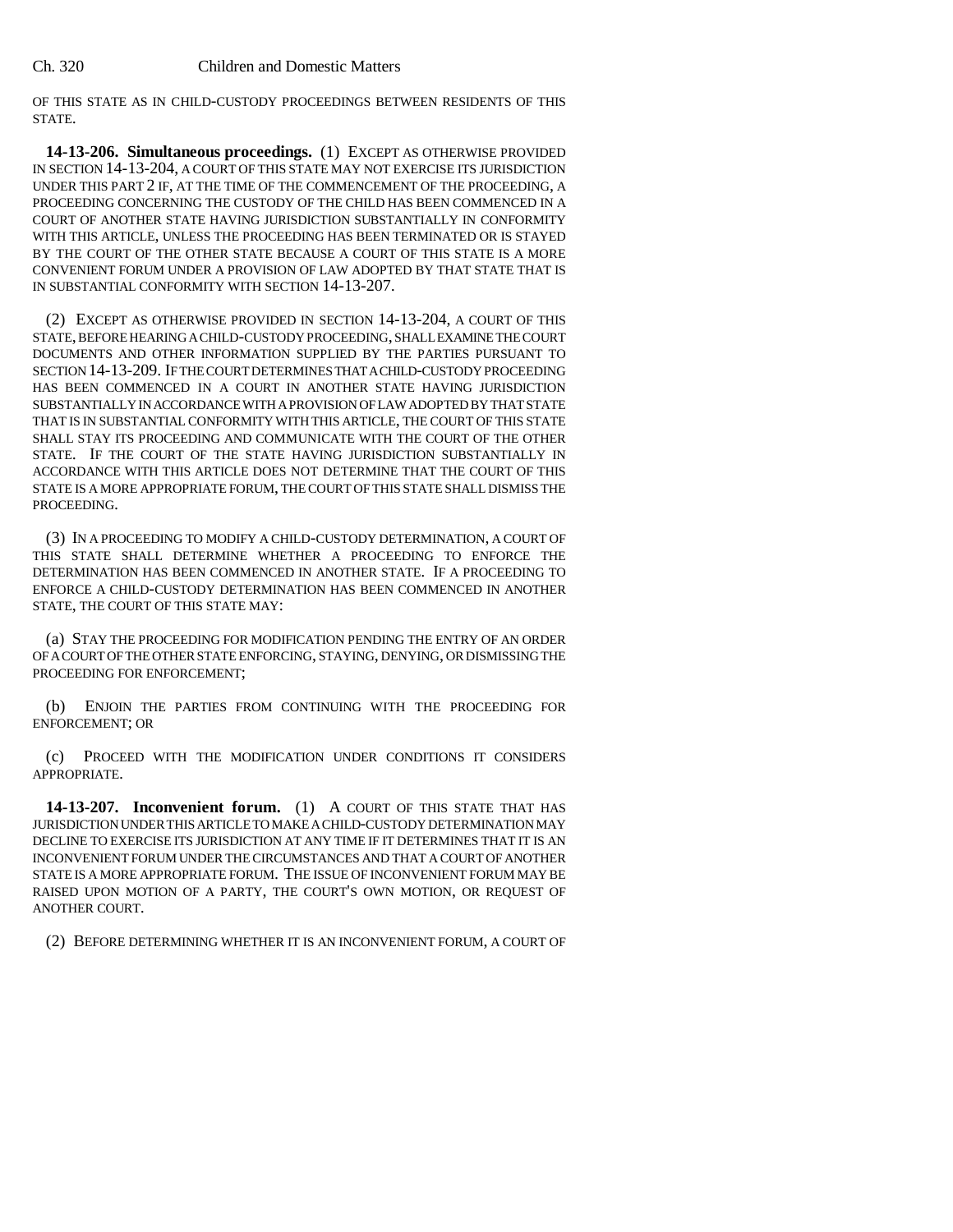OF THIS STATE AS IN CHILD-CUSTODY PROCEEDINGS BETWEEN RESIDENTS OF THIS STATE.

**14-13-206. Simultaneous proceedings.** (1) EXCEPT AS OTHERWISE PROVIDED IN SECTION 14-13-204, A COURT OF THIS STATE MAY NOT EXERCISE ITS JURISDICTION UNDER THIS PART 2 IF, AT THE TIME OF THE COMMENCEMENT OF THE PROCEEDING, A PROCEEDING CONCERNING THE CUSTODY OF THE CHILD HAS BEEN COMMENCED IN A COURT OF ANOTHER STATE HAVING JURISDICTION SUBSTANTIALLY IN CONFORMITY WITH THIS ARTICLE, UNLESS THE PROCEEDING HAS BEEN TERMINATED OR IS STAYED BY THE COURT OF THE OTHER STATE BECAUSE A COURT OF THIS STATE IS A MORE CONVENIENT FORUM UNDER A PROVISION OF LAW ADOPTED BY THAT STATE THAT IS IN SUBSTANTIAL CONFORMITY WITH SECTION 14-13-207.

(2) EXCEPT AS OTHERWISE PROVIDED IN SECTION 14-13-204, A COURT OF THIS STATE, BEFORE HEARING A CHILD-CUSTODY PROCEEDING, SHALL EXAMINE THE COURT DOCUMENTS AND OTHER INFORMATION SUPPLIED BY THE PARTIES PURSUANT TO SECTION 14-13-209. IF THE COURT DETERMINES THAT A CHILD-CUSTODY PROCEEDING HAS BEEN COMMENCED IN A COURT IN ANOTHER STATE HAVING JURISDICTION SUBSTANTIALLY IN ACCORDANCE WITH A PROVISION OF LAW ADOPTED BY THAT STATE THAT IS IN SUBSTANTIAL CONFORMITY WITH THIS ARTICLE, THE COURT OF THIS STATE SHALL STAY ITS PROCEEDING AND COMMUNICATE WITH THE COURT OF THE OTHER STATE. IF THE COURT OF THE STATE HAVING JURISDICTION SUBSTANTIALLY IN ACCORDANCE WITH THIS ARTICLE DOES NOT DETERMINE THAT THE COURT OF THIS STATE IS A MORE APPROPRIATE FORUM, THE COURT OF THIS STATE SHALL DISMISS THE PROCEEDING.

(3) IN A PROCEEDING TO MODIFY A CHILD-CUSTODY DETERMINATION, A COURT OF THIS STATE SHALL DETERMINE WHETHER A PROCEEDING TO ENFORCE THE DETERMINATION HAS BEEN COMMENCED IN ANOTHER STATE. IF A PROCEEDING TO ENFORCE A CHILD-CUSTODY DETERMINATION HAS BEEN COMMENCED IN ANOTHER STATE, THE COURT OF THIS STATE MAY:

(a) STAY THE PROCEEDING FOR MODIFICATION PENDING THE ENTRY OF AN ORDER OF A COURT OF THE OTHER STATE ENFORCING, STAYING, DENYING, OR DISMISSING THE PROCEEDING FOR ENFORCEMENT;

(b) ENJOIN THE PARTIES FROM CONTINUING WITH THE PROCEEDING FOR ENFORCEMENT; OR

(c) PROCEED WITH THE MODIFICATION UNDER CONDITIONS IT CONSIDERS APPROPRIATE.

**14-13-207. Inconvenient forum.** (1) A COURT OF THIS STATE THAT HAS JURISDICTION UNDER THIS ARTICLE TO MAKE A CHILD-CUSTODY DETERMINATION MAY DECLINE TO EXERCISE ITS JURISDICTION AT ANY TIME IF IT DETERMINES THAT IT IS AN INCONVENIENT FORUM UNDER THE CIRCUMSTANCES AND THAT A COURT OF ANOTHER STATE IS A MORE APPROPRIATE FORUM. THE ISSUE OF INCONVENIENT FORUM MAY BE RAISED UPON MOTION OF A PARTY, THE COURT'S OWN MOTION, OR REQUEST OF ANOTHER COURT.

(2) BEFORE DETERMINING WHETHER IT IS AN INCONVENIENT FORUM, A COURT OF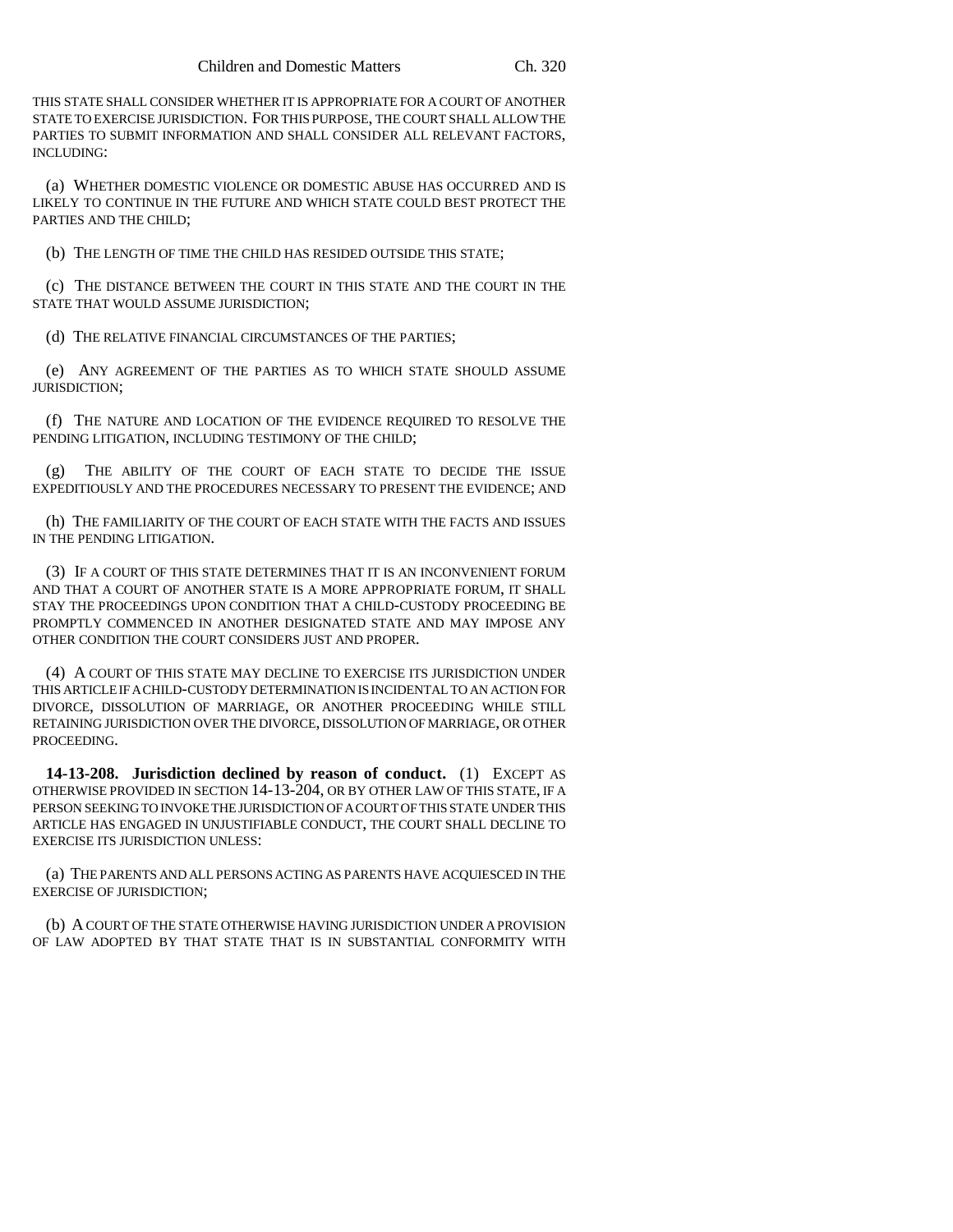THIS STATE SHALL CONSIDER WHETHER IT IS APPROPRIATE FOR A COURT OF ANOTHER STATE TO EXERCISE JURISDICTION. FOR THIS PURPOSE, THE COURT SHALL ALLOW THE PARTIES TO SUBMIT INFORMATION AND SHALL CONSIDER ALL RELEVANT FACTORS, INCLUDING:

(a) WHETHER DOMESTIC VIOLENCE OR DOMESTIC ABUSE HAS OCCURRED AND IS LIKELY TO CONTINUE IN THE FUTURE AND WHICH STATE COULD BEST PROTECT THE PARTIES AND THE CHILD;

(b) THE LENGTH OF TIME THE CHILD HAS RESIDED OUTSIDE THIS STATE;

(c) THE DISTANCE BETWEEN THE COURT IN THIS STATE AND THE COURT IN THE STATE THAT WOULD ASSUME JURISDICTION;

(d) THE RELATIVE FINANCIAL CIRCUMSTANCES OF THE PARTIES;

(e) ANY AGREEMENT OF THE PARTIES AS TO WHICH STATE SHOULD ASSUME JURISDICTION;

(f) THE NATURE AND LOCATION OF THE EVIDENCE REQUIRED TO RESOLVE THE PENDING LITIGATION, INCLUDING TESTIMONY OF THE CHILD;

(g) THE ABILITY OF THE COURT OF EACH STATE TO DECIDE THE ISSUE EXPEDITIOUSLY AND THE PROCEDURES NECESSARY TO PRESENT THE EVIDENCE; AND

(h) THE FAMILIARITY OF THE COURT OF EACH STATE WITH THE FACTS AND ISSUES IN THE PENDING LITIGATION.

(3) IF A COURT OF THIS STATE DETERMINES THAT IT IS AN INCONVENIENT FORUM AND THAT A COURT OF ANOTHER STATE IS A MORE APPROPRIATE FORUM, IT SHALL STAY THE PROCEEDINGS UPON CONDITION THAT A CHILD-CUSTODY PROCEEDING BE PROMPTLY COMMENCED IN ANOTHER DESIGNATED STATE AND MAY IMPOSE ANY OTHER CONDITION THE COURT CONSIDERS JUST AND PROPER.

(4) A COURT OF THIS STATE MAY DECLINE TO EXERCISE ITS JURISDICTION UNDER THIS ARTICLE IF A CHILD-CUSTODY DETERMINATION IS INCIDENTAL TO AN ACTION FOR DIVORCE, DISSOLUTION OF MARRIAGE, OR ANOTHER PROCEEDING WHILE STILL RETAINING JURISDICTION OVER THE DIVORCE, DISSOLUTION OF MARRIAGE, OR OTHER PROCEEDING.

**14-13-208. Jurisdiction declined by reason of conduct.** (1) EXCEPT AS OTHERWISE PROVIDED IN SECTION 14-13-204, OR BY OTHER LAW OF THIS STATE, IF A PERSON SEEKING TO INVOKE THE JURISDICTION OF A COURT OF THIS STATE UNDER THIS ARTICLE HAS ENGAGED IN UNJUSTIFIABLE CONDUCT, THE COURT SHALL DECLINE TO EXERCISE ITS JURISDICTION UNLESS:

(a) THE PARENTS AND ALL PERSONS ACTING AS PARENTS HAVE ACQUIESCED IN THE EXERCISE OF JURISDICTION;

(b) A COURT OF THE STATE OTHERWISE HAVING JURISDICTION UNDER A PROVISION OF LAW ADOPTED BY THAT STATE THAT IS IN SUBSTANTIAL CONFORMITY WITH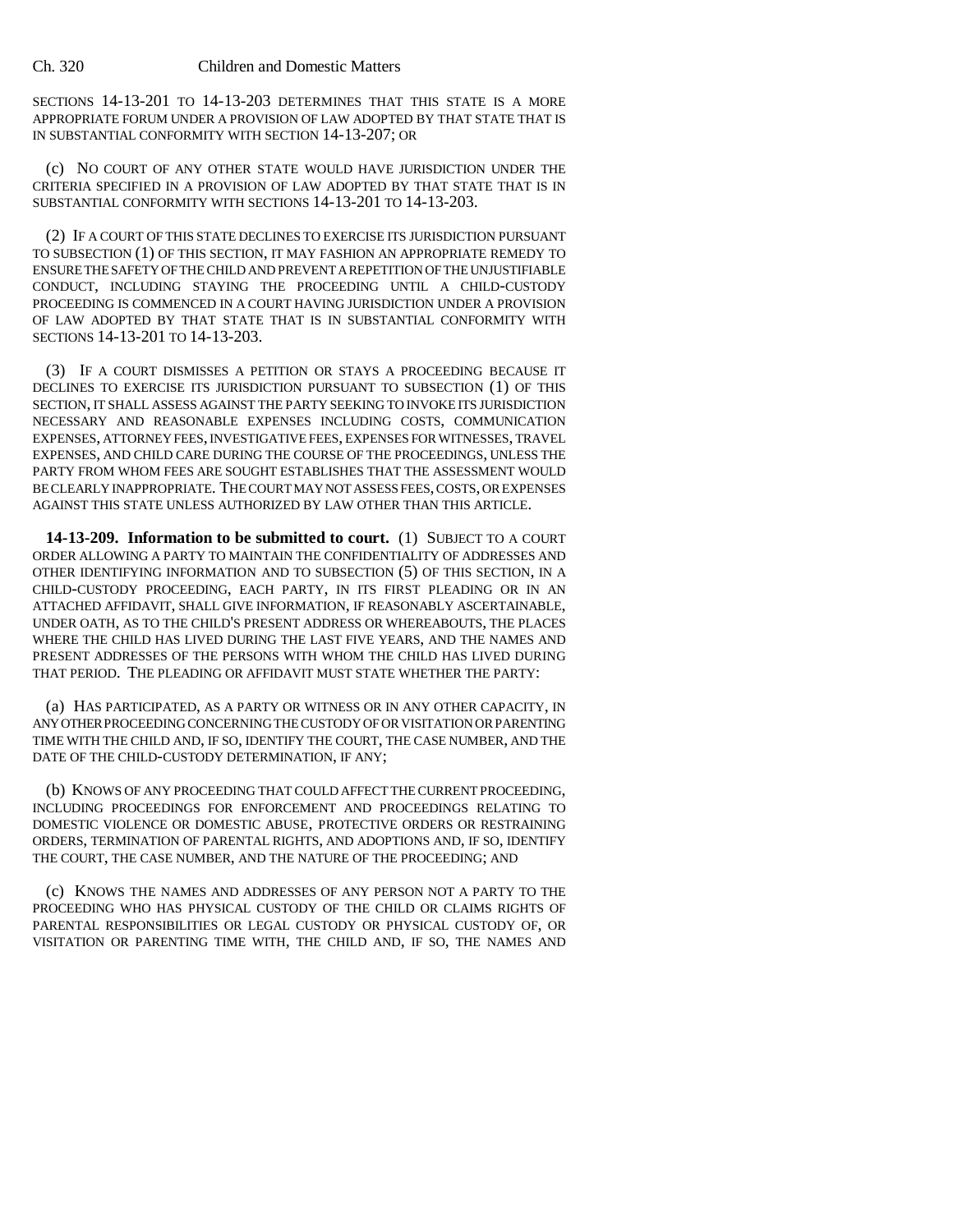SECTIONS 14-13-201 TO 14-13-203 DETERMINES THAT THIS STATE IS A MORE APPROPRIATE FORUM UNDER A PROVISION OF LAW ADOPTED BY THAT STATE THAT IS IN SUBSTANTIAL CONFORMITY WITH SECTION 14-13-207; OR

(c) NO COURT OF ANY OTHER STATE WOULD HAVE JURISDICTION UNDER THE CRITERIA SPECIFIED IN A PROVISION OF LAW ADOPTED BY THAT STATE THAT IS IN SUBSTANTIAL CONFORMITY WITH SECTIONS 14-13-201 TO 14-13-203.

(2) IF A COURT OF THIS STATE DECLINES TO EXERCISE ITS JURISDICTION PURSUANT TO SUBSECTION (1) OF THIS SECTION, IT MAY FASHION AN APPROPRIATE REMEDY TO ENSURE THE SAFETY OF THE CHILD AND PREVENT A REPETITION OF THE UNJUSTIFIABLE CONDUCT, INCLUDING STAYING THE PROCEEDING UNTIL A CHILD-CUSTODY PROCEEDING IS COMMENCED IN A COURT HAVING JURISDICTION UNDER A PROVISION OF LAW ADOPTED BY THAT STATE THAT IS IN SUBSTANTIAL CONFORMITY WITH SECTIONS 14-13-201 TO 14-13-203.

(3) IF A COURT DISMISSES A PETITION OR STAYS A PROCEEDING BECAUSE IT DECLINES TO EXERCISE ITS JURISDICTION PURSUANT TO SUBSECTION (1) OF THIS SECTION, IT SHALL ASSESS AGAINST THE PARTY SEEKING TO INVOKE ITS JURISDICTION NECESSARY AND REASONABLE EXPENSES INCLUDING COSTS, COMMUNICATION EXPENSES, ATTORNEY FEES, INVESTIGATIVE FEES, EXPENSES FOR WITNESSES, TRAVEL EXPENSES, AND CHILD CARE DURING THE COURSE OF THE PROCEEDINGS, UNLESS THE PARTY FROM WHOM FEES ARE SOUGHT ESTABLISHES THAT THE ASSESSMENT WOULD BE CLEARLY INAPPROPRIATE. THE COURT MAY NOT ASSESS FEES, COSTS, OR EXPENSES AGAINST THIS STATE UNLESS AUTHORIZED BY LAW OTHER THAN THIS ARTICLE.

**14-13-209. Information to be submitted to court.** (1) SUBJECT TO A COURT ORDER ALLOWING A PARTY TO MAINTAIN THE CONFIDENTIALITY OF ADDRESSES AND OTHER IDENTIFYING INFORMATION AND TO SUBSECTION (5) OF THIS SECTION, IN A CHILD-CUSTODY PROCEEDING, EACH PARTY, IN ITS FIRST PLEADING OR IN AN ATTACHED AFFIDAVIT, SHALL GIVE INFORMATION, IF REASONABLY ASCERTAINABLE, UNDER OATH, AS TO THE CHILD'S PRESENT ADDRESS OR WHEREABOUTS, THE PLACES WHERE THE CHILD HAS LIVED DURING THE LAST FIVE YEARS, AND THE NAMES AND PRESENT ADDRESSES OF THE PERSONS WITH WHOM THE CHILD HAS LIVED DURING THAT PERIOD. THE PLEADING OR AFFIDAVIT MUST STATE WHETHER THE PARTY:

(a) HAS PARTICIPATED, AS A PARTY OR WITNESS OR IN ANY OTHER CAPACITY, IN ANY OTHER PROCEEDING CONCERNING THE CUSTODY OF OR VISITATION OR PARENTING TIME WITH THE CHILD AND, IF SO, IDENTIFY THE COURT, THE CASE NUMBER, AND THE DATE OF THE CHILD-CUSTODY DETERMINATION, IF ANY;

(b) KNOWS OF ANY PROCEEDING THAT COULD AFFECT THE CURRENT PROCEEDING, INCLUDING PROCEEDINGS FOR ENFORCEMENT AND PROCEEDINGS RELATING TO DOMESTIC VIOLENCE OR DOMESTIC ABUSE, PROTECTIVE ORDERS OR RESTRAINING ORDERS, TERMINATION OF PARENTAL RIGHTS, AND ADOPTIONS AND, IF SO, IDENTIFY THE COURT, THE CASE NUMBER, AND THE NATURE OF THE PROCEEDING; AND

(c) KNOWS THE NAMES AND ADDRESSES OF ANY PERSON NOT A PARTY TO THE PROCEEDING WHO HAS PHYSICAL CUSTODY OF THE CHILD OR CLAIMS RIGHTS OF PARENTAL RESPONSIBILITIES OR LEGAL CUSTODY OR PHYSICAL CUSTODY OF, OR VISITATION OR PARENTING TIME WITH, THE CHILD AND, IF SO, THE NAMES AND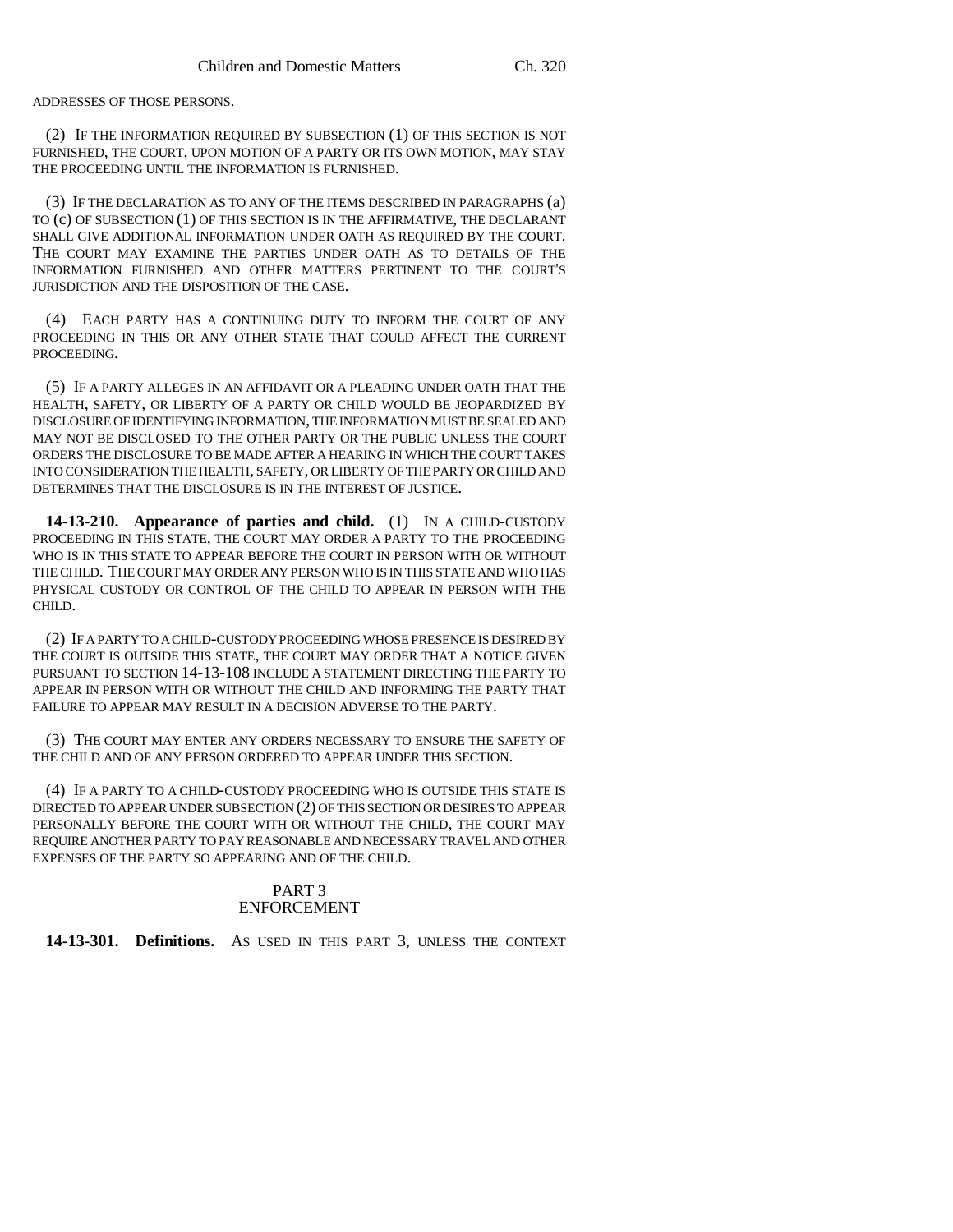ADDRESSES OF THOSE PERSONS.

(2) IF THE INFORMATION REQUIRED BY SUBSECTION (1) OF THIS SECTION IS NOT FURNISHED, THE COURT, UPON MOTION OF A PARTY OR ITS OWN MOTION, MAY STAY THE PROCEEDING UNTIL THE INFORMATION IS FURNISHED.

(3) IF THE DECLARATION AS TO ANY OF THE ITEMS DESCRIBED IN PARAGRAPHS (a) TO (c) OF SUBSECTION (1) OF THIS SECTION IS IN THE AFFIRMATIVE, THE DECLARANT SHALL GIVE ADDITIONAL INFORMATION UNDER OATH AS REQUIRED BY THE COURT. THE COURT MAY EXAMINE THE PARTIES UNDER OATH AS TO DETAILS OF THE INFORMATION FURNISHED AND OTHER MATTERS PERTINENT TO THE COURT'S JURISDICTION AND THE DISPOSITION OF THE CASE.

(4) EACH PARTY HAS A CONTINUING DUTY TO INFORM THE COURT OF ANY PROCEEDING IN THIS OR ANY OTHER STATE THAT COULD AFFECT THE CURRENT PROCEEDING.

(5) IF A PARTY ALLEGES IN AN AFFIDAVIT OR A PLEADING UNDER OATH THAT THE HEALTH, SAFETY, OR LIBERTY OF A PARTY OR CHILD WOULD BE JEOPARDIZED BY DISCLOSURE OF IDENTIFYING INFORMATION, THE INFORMATION MUST BE SEALED AND MAY NOT BE DISCLOSED TO THE OTHER PARTY OR THE PUBLIC UNLESS THE COURT ORDERS THE DISCLOSURE TO BE MADE AFTER A HEARING IN WHICH THE COURT TAKES INTO CONSIDERATION THE HEALTH, SAFETY, OR LIBERTY OF THE PARTY OR CHILD AND DETERMINES THAT THE DISCLOSURE IS IN THE INTEREST OF JUSTICE.

**14-13-210. Appearance of parties and child.** (1) IN A CHILD-CUSTODY PROCEEDING IN THIS STATE, THE COURT MAY ORDER A PARTY TO THE PROCEEDING WHO IS IN THIS STATE TO APPEAR BEFORE THE COURT IN PERSON WITH OR WITHOUT THE CHILD. THE COURT MAY ORDER ANY PERSON WHO IS IN THIS STATE AND WHO HAS PHYSICAL CUSTODY OR CONTROL OF THE CHILD TO APPEAR IN PERSON WITH THE CHILD.

(2) IF A PARTY TO A CHILD-CUSTODY PROCEEDING WHOSE PRESENCE IS DESIRED BY THE COURT IS OUTSIDE THIS STATE, THE COURT MAY ORDER THAT A NOTICE GIVEN PURSUANT TO SECTION 14-13-108 INCLUDE A STATEMENT DIRECTING THE PARTY TO APPEAR IN PERSON WITH OR WITHOUT THE CHILD AND INFORMING THE PARTY THAT FAILURE TO APPEAR MAY RESULT IN A DECISION ADVERSE TO THE PARTY.

(3) THE COURT MAY ENTER ANY ORDERS NECESSARY TO ENSURE THE SAFETY OF THE CHILD AND OF ANY PERSON ORDERED TO APPEAR UNDER THIS SECTION.

(4) IF A PARTY TO A CHILD-CUSTODY PROCEEDING WHO IS OUTSIDE THIS STATE IS DIRECTED TO APPEAR UNDER SUBSECTION (2) OF THIS SECTION OR DESIRES TO APPEAR PERSONALLY BEFORE THE COURT WITH OR WITHOUT THE CHILD, THE COURT MAY REQUIRE ANOTHER PARTY TO PAY REASONABLE AND NECESSARY TRAVEL AND OTHER EXPENSES OF THE PARTY SO APPEARING AND OF THE CHILD.

#### PART 3 ENFORCEMENT

**14-13-301. Definitions.** AS USED IN THIS PART 3, UNLESS THE CONTEXT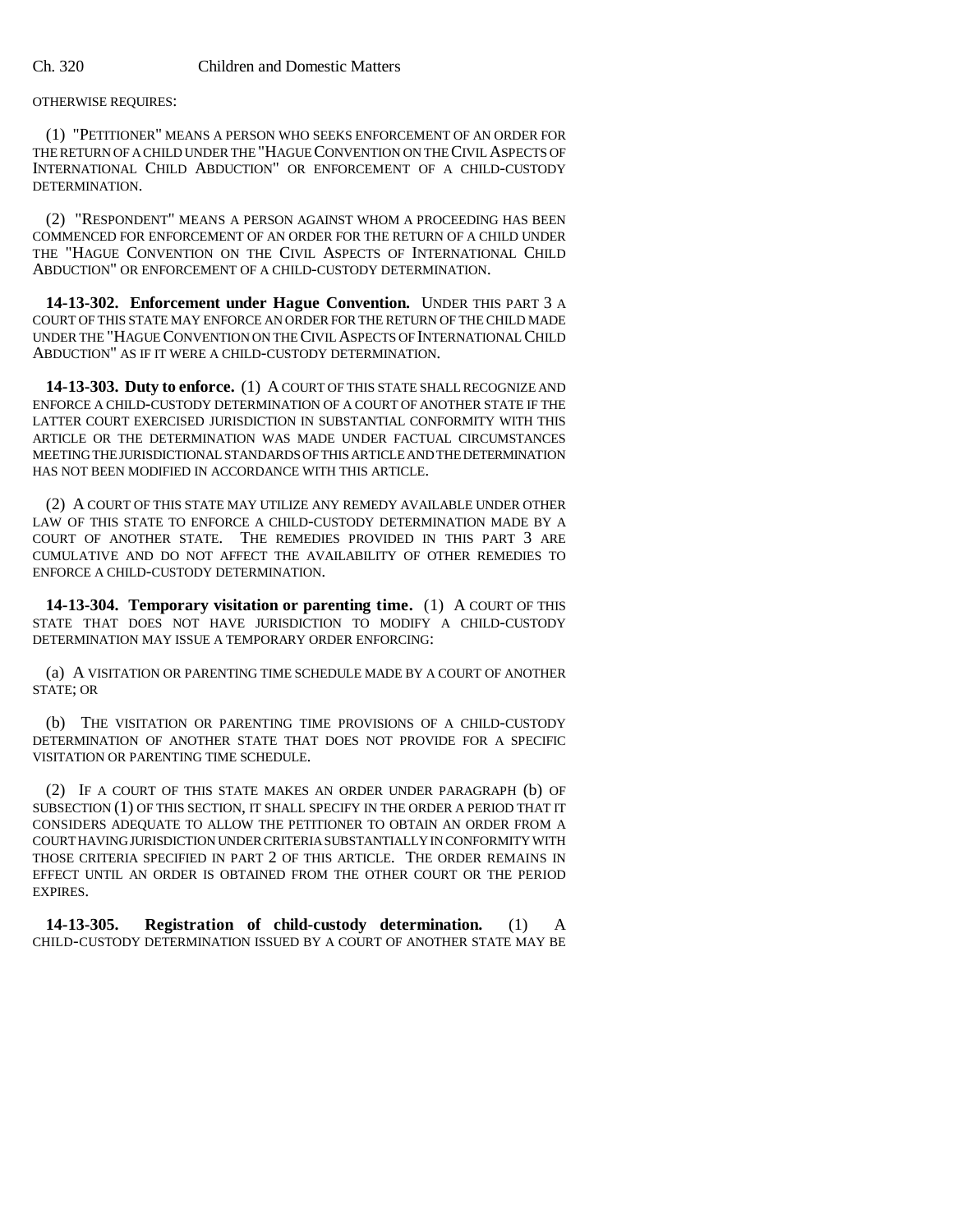OTHERWISE REQUIRES:

(1) "PETITIONER" MEANS A PERSON WHO SEEKS ENFORCEMENT OF AN ORDER FOR THE RETURN OF A CHILD UNDER THE "HAGUE CONVENTION ON THE CIVIL ASPECTS OF INTERNATIONAL CHILD ABDUCTION" OR ENFORCEMENT OF A CHILD-CUSTODY DETERMINATION.

(2) "RESPONDENT" MEANS A PERSON AGAINST WHOM A PROCEEDING HAS BEEN COMMENCED FOR ENFORCEMENT OF AN ORDER FOR THE RETURN OF A CHILD UNDER THE "HAGUE CONVENTION ON THE CIVIL ASPECTS OF INTERNATIONAL CHILD ABDUCTION" OR ENFORCEMENT OF A CHILD-CUSTODY DETERMINATION.

**14-13-302. Enforcement under Hague Convention.** UNDER THIS PART 3 A COURT OF THIS STATE MAY ENFORCE AN ORDER FOR THE RETURN OF THE CHILD MADE UNDER THE "HAGUE CONVENTION ON THE CIVIL ASPECTS OF INTERNATIONAL CHILD ABDUCTION" AS IF IT WERE A CHILD-CUSTODY DETERMINATION.

**14-13-303. Duty to enforce.** (1) A COURT OF THIS STATE SHALL RECOGNIZE AND ENFORCE A CHILD-CUSTODY DETERMINATION OF A COURT OF ANOTHER STATE IF THE LATTER COURT EXERCISED JURISDICTION IN SUBSTANTIAL CONFORMITY WITH THIS ARTICLE OR THE DETERMINATION WAS MADE UNDER FACTUAL CIRCUMSTANCES MEETING THE JURISDICTIONAL STANDARDS OF THIS ARTICLE AND THE DETERMINATION HAS NOT BEEN MODIFIED IN ACCORDANCE WITH THIS ARTICLE.

(2) A COURT OF THIS STATE MAY UTILIZE ANY REMEDY AVAILABLE UNDER OTHER LAW OF THIS STATE TO ENFORCE A CHILD-CUSTODY DETERMINATION MADE BY A COURT OF ANOTHER STATE. THE REMEDIES PROVIDED IN THIS PART 3 ARE CUMULATIVE AND DO NOT AFFECT THE AVAILABILITY OF OTHER REMEDIES TO ENFORCE A CHILD-CUSTODY DETERMINATION.

**14-13-304. Temporary visitation or parenting time.** (1) A COURT OF THIS STATE THAT DOES NOT HAVE JURISDICTION TO MODIFY A CHILD-CUSTODY DETERMINATION MAY ISSUE A TEMPORARY ORDER ENFORCING:

(a) A VISITATION OR PARENTING TIME SCHEDULE MADE BY A COURT OF ANOTHER STATE; OR

(b) THE VISITATION OR PARENTING TIME PROVISIONS OF A CHILD-CUSTODY DETERMINATION OF ANOTHER STATE THAT DOES NOT PROVIDE FOR A SPECIFIC VISITATION OR PARENTING TIME SCHEDULE.

(2) IF A COURT OF THIS STATE MAKES AN ORDER UNDER PARAGRAPH (b) OF SUBSECTION (1) OF THIS SECTION, IT SHALL SPECIFY IN THE ORDER A PERIOD THAT IT CONSIDERS ADEQUATE TO ALLOW THE PETITIONER TO OBTAIN AN ORDER FROM A COURT HAVING JURISDICTION UNDER CRITERIA SUBSTANTIALLY IN CONFORMITY WITH THOSE CRITERIA SPECIFIED IN PART 2 OF THIS ARTICLE. THE ORDER REMAINS IN EFFECT UNTIL AN ORDER IS OBTAINED FROM THE OTHER COURT OR THE PERIOD EXPIRES.

**14-13-305. Registration of child-custody determination.** (1) A CHILD-CUSTODY DETERMINATION ISSUED BY A COURT OF ANOTHER STATE MAY BE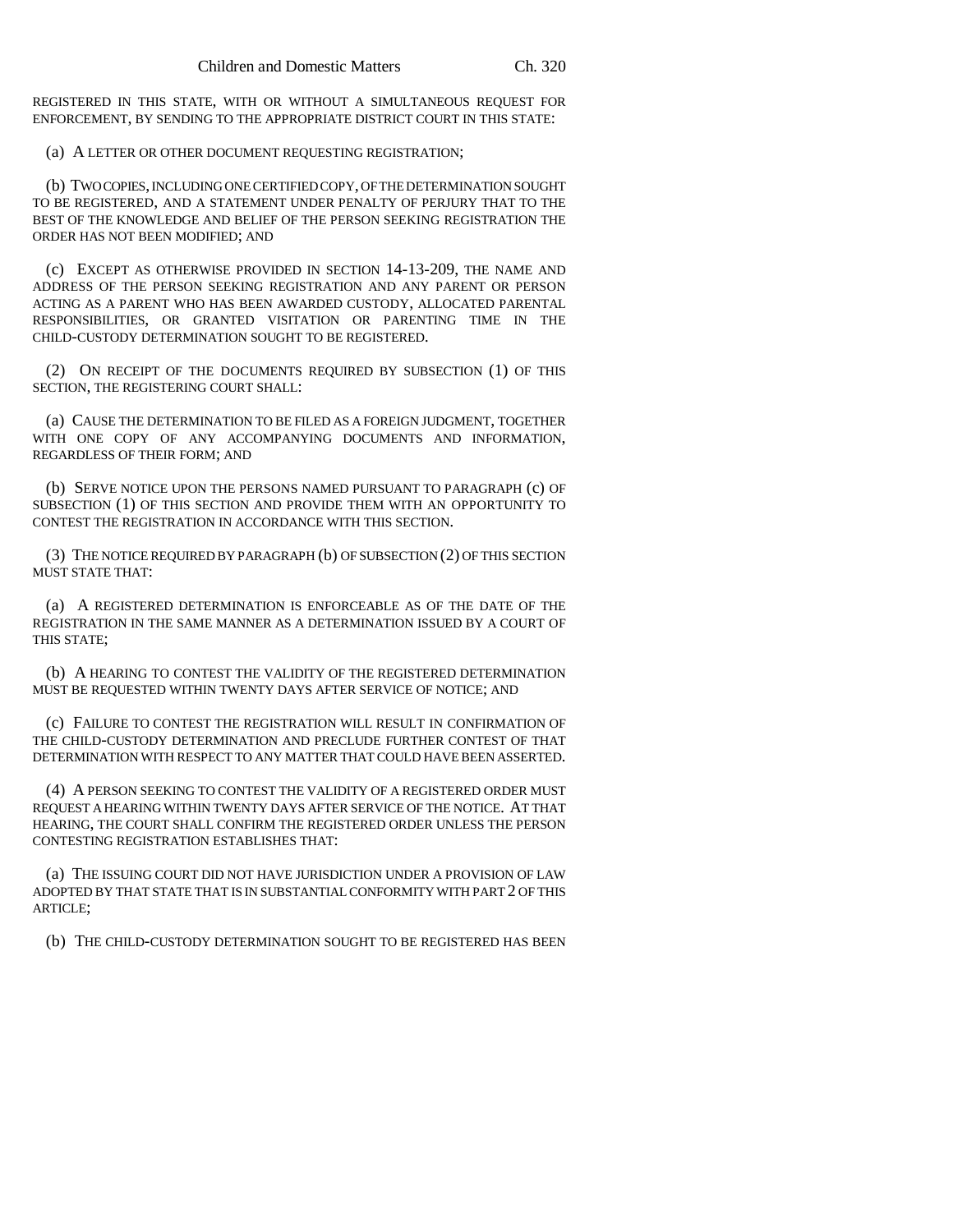REGISTERED IN THIS STATE, WITH OR WITHOUT A SIMULTANEOUS REQUEST FOR ENFORCEMENT, BY SENDING TO THE APPROPRIATE DISTRICT COURT IN THIS STATE:

(a) A LETTER OR OTHER DOCUMENT REQUESTING REGISTRATION;

(b) TWO COPIES, INCLUDING ONE CERTIFIED COPY, OF THE DETERMINATION SOUGHT TO BE REGISTERED, AND A STATEMENT UNDER PENALTY OF PERJURY THAT TO THE BEST OF THE KNOWLEDGE AND BELIEF OF THE PERSON SEEKING REGISTRATION THE ORDER HAS NOT BEEN MODIFIED; AND

(c) EXCEPT AS OTHERWISE PROVIDED IN SECTION 14-13-209, THE NAME AND ADDRESS OF THE PERSON SEEKING REGISTRATION AND ANY PARENT OR PERSON ACTING AS A PARENT WHO HAS BEEN AWARDED CUSTODY, ALLOCATED PARENTAL RESPONSIBILITIES, OR GRANTED VISITATION OR PARENTING TIME IN THE CHILD-CUSTODY DETERMINATION SOUGHT TO BE REGISTERED.

(2) ON RECEIPT OF THE DOCUMENTS REQUIRED BY SUBSECTION (1) OF THIS SECTION, THE REGISTERING COURT SHALL:

(a) CAUSE THE DETERMINATION TO BE FILED AS A FOREIGN JUDGMENT, TOGETHER WITH ONE COPY OF ANY ACCOMPANYING DOCUMENTS AND INFORMATION, REGARDLESS OF THEIR FORM; AND

(b) SERVE NOTICE UPON THE PERSONS NAMED PURSUANT TO PARAGRAPH (c) OF SUBSECTION (1) OF THIS SECTION AND PROVIDE THEM WITH AN OPPORTUNITY TO CONTEST THE REGISTRATION IN ACCORDANCE WITH THIS SECTION.

(3) THE NOTICE REQUIRED BY PARAGRAPH (b) OF SUBSECTION (2) OF THIS SECTION MUST STATE THAT:

(a) A REGISTERED DETERMINATION IS ENFORCEABLE AS OF THE DATE OF THE REGISTRATION IN THE SAME MANNER AS A DETERMINATION ISSUED BY A COURT OF THIS STATE;

(b) A HEARING TO CONTEST THE VALIDITY OF THE REGISTERED DETERMINATION MUST BE REQUESTED WITHIN TWENTY DAYS AFTER SERVICE OF NOTICE; AND

(c) FAILURE TO CONTEST THE REGISTRATION WILL RESULT IN CONFIRMATION OF THE CHILD-CUSTODY DETERMINATION AND PRECLUDE FURTHER CONTEST OF THAT DETERMINATION WITH RESPECT TO ANY MATTER THAT COULD HAVE BEEN ASSERTED.

(4) A PERSON SEEKING TO CONTEST THE VALIDITY OF A REGISTERED ORDER MUST REQUEST A HEARING WITHIN TWENTY DAYS AFTER SERVICE OF THE NOTICE. AT THAT HEARING, THE COURT SHALL CONFIRM THE REGISTERED ORDER UNLESS THE PERSON CONTESTING REGISTRATION ESTABLISHES THAT:

(a) THE ISSUING COURT DID NOT HAVE JURISDICTION UNDER A PROVISION OF LAW ADOPTED BY THAT STATE THAT IS IN SUBSTANTIAL CONFORMITY WITH PART 2 OF THIS ARTICLE;

(b) THE CHILD-CUSTODY DETERMINATION SOUGHT TO BE REGISTERED HAS BEEN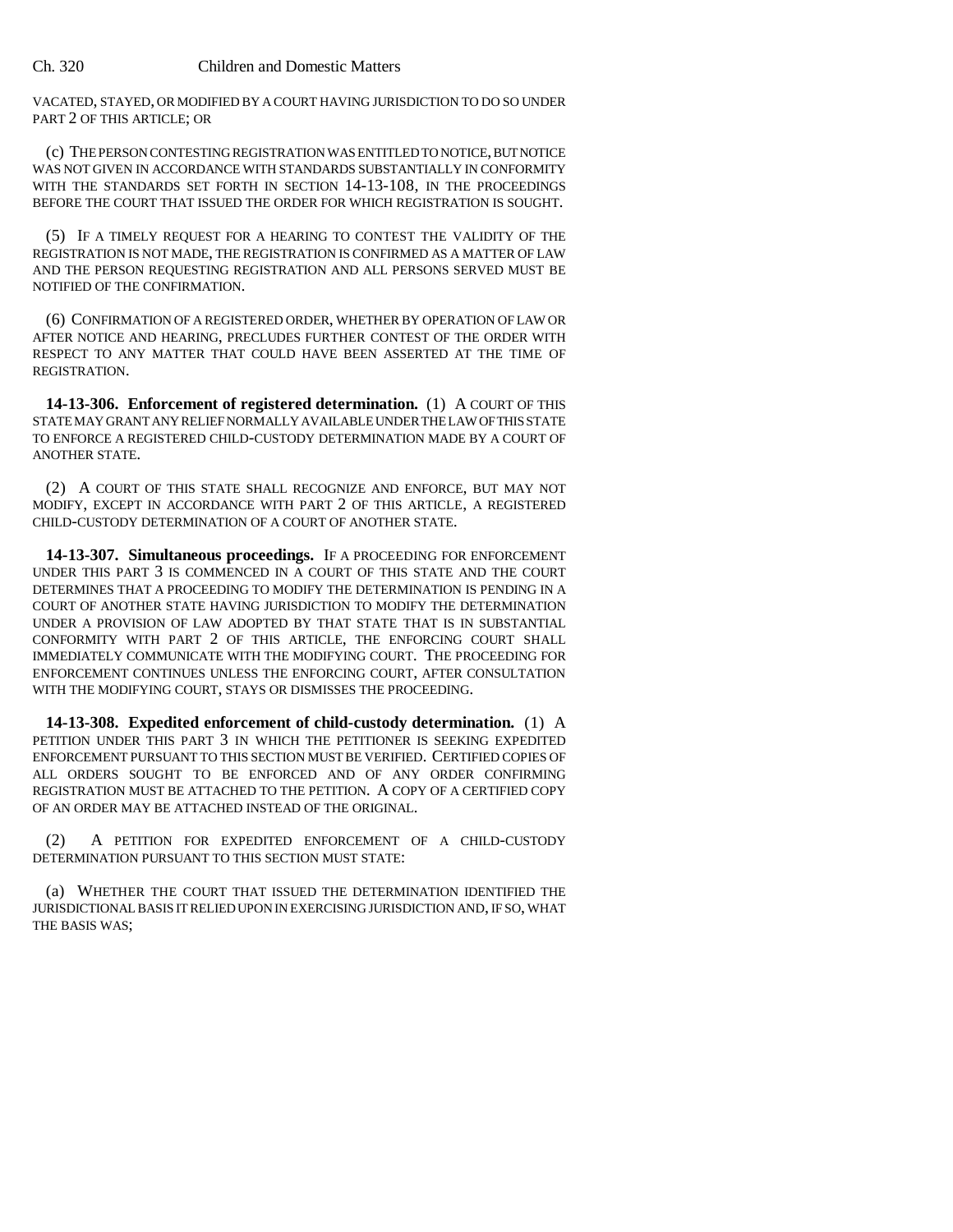VACATED, STAYED, OR MODIFIED BY A COURT HAVING JURISDICTION TO DO SO UNDER PART 2 OF THIS ARTICLE; OR

(c) THE PERSON CONTESTING REGISTRATION WAS ENTITLED TO NOTICE, BUT NOTICE WAS NOT GIVEN IN ACCORDANCE WITH STANDARDS SUBSTANTIALLY IN CONFORMITY WITH THE STANDARDS SET FORTH IN SECTION 14-13-108, IN THE PROCEEDINGS BEFORE THE COURT THAT ISSUED THE ORDER FOR WHICH REGISTRATION IS SOUGHT.

(5) IF A TIMELY REQUEST FOR A HEARING TO CONTEST THE VALIDITY OF THE REGISTRATION IS NOT MADE, THE REGISTRATION IS CONFIRMED AS A MATTER OF LAW AND THE PERSON REQUESTING REGISTRATION AND ALL PERSONS SERVED MUST BE NOTIFIED OF THE CONFIRMATION.

(6) CONFIRMATION OF A REGISTERED ORDER, WHETHER BY OPERATION OF LAW OR AFTER NOTICE AND HEARING, PRECLUDES FURTHER CONTEST OF THE ORDER WITH RESPECT TO ANY MATTER THAT COULD HAVE BEEN ASSERTED AT THE TIME OF REGISTRATION.

**14-13-306. Enforcement of registered determination.** (1) A COURT OF THIS STATE MAY GRANT ANY RELIEF NORMALLY AVAILABLE UNDER THE LAW OF THIS STATE TO ENFORCE A REGISTERED CHILD-CUSTODY DETERMINATION MADE BY A COURT OF ANOTHER STATE.

(2) A COURT OF THIS STATE SHALL RECOGNIZE AND ENFORCE, BUT MAY NOT MODIFY, EXCEPT IN ACCORDANCE WITH PART 2 OF THIS ARTICLE, A REGISTERED CHILD-CUSTODY DETERMINATION OF A COURT OF ANOTHER STATE.

**14-13-307. Simultaneous proceedings.** IF A PROCEEDING FOR ENFORCEMENT UNDER THIS PART 3 IS COMMENCED IN A COURT OF THIS STATE AND THE COURT DETERMINES THAT A PROCEEDING TO MODIFY THE DETERMINATION IS PENDING IN A COURT OF ANOTHER STATE HAVING JURISDICTION TO MODIFY THE DETERMINATION UNDER A PROVISION OF LAW ADOPTED BY THAT STATE THAT IS IN SUBSTANTIAL CONFORMITY WITH PART 2 OF THIS ARTICLE, THE ENFORCING COURT SHALL IMMEDIATELY COMMUNICATE WITH THE MODIFYING COURT. THE PROCEEDING FOR ENFORCEMENT CONTINUES UNLESS THE ENFORCING COURT, AFTER CONSULTATION WITH THE MODIFYING COURT, STAYS OR DISMISSES THE PROCEEDING.

**14-13-308. Expedited enforcement of child-custody determination.** (1) A PETITION UNDER THIS PART 3 IN WHICH THE PETITIONER IS SEEKING EXPEDITED ENFORCEMENT PURSUANT TO THIS SECTION MUST BE VERIFIED. CERTIFIED COPIES OF ALL ORDERS SOUGHT TO BE ENFORCED AND OF ANY ORDER CONFIRMING REGISTRATION MUST BE ATTACHED TO THE PETITION. A COPY OF A CERTIFIED COPY OF AN ORDER MAY BE ATTACHED INSTEAD OF THE ORIGINAL.

(2) A PETITION FOR EXPEDITED ENFORCEMENT OF A CHILD-CUSTODY DETERMINATION PURSUANT TO THIS SECTION MUST STATE:

(a) WHETHER THE COURT THAT ISSUED THE DETERMINATION IDENTIFIED THE JURISDICTIONAL BASIS IT RELIED UPON IN EXERCISING JURISDICTION AND, IF SO, WHAT THE BASIS WAS;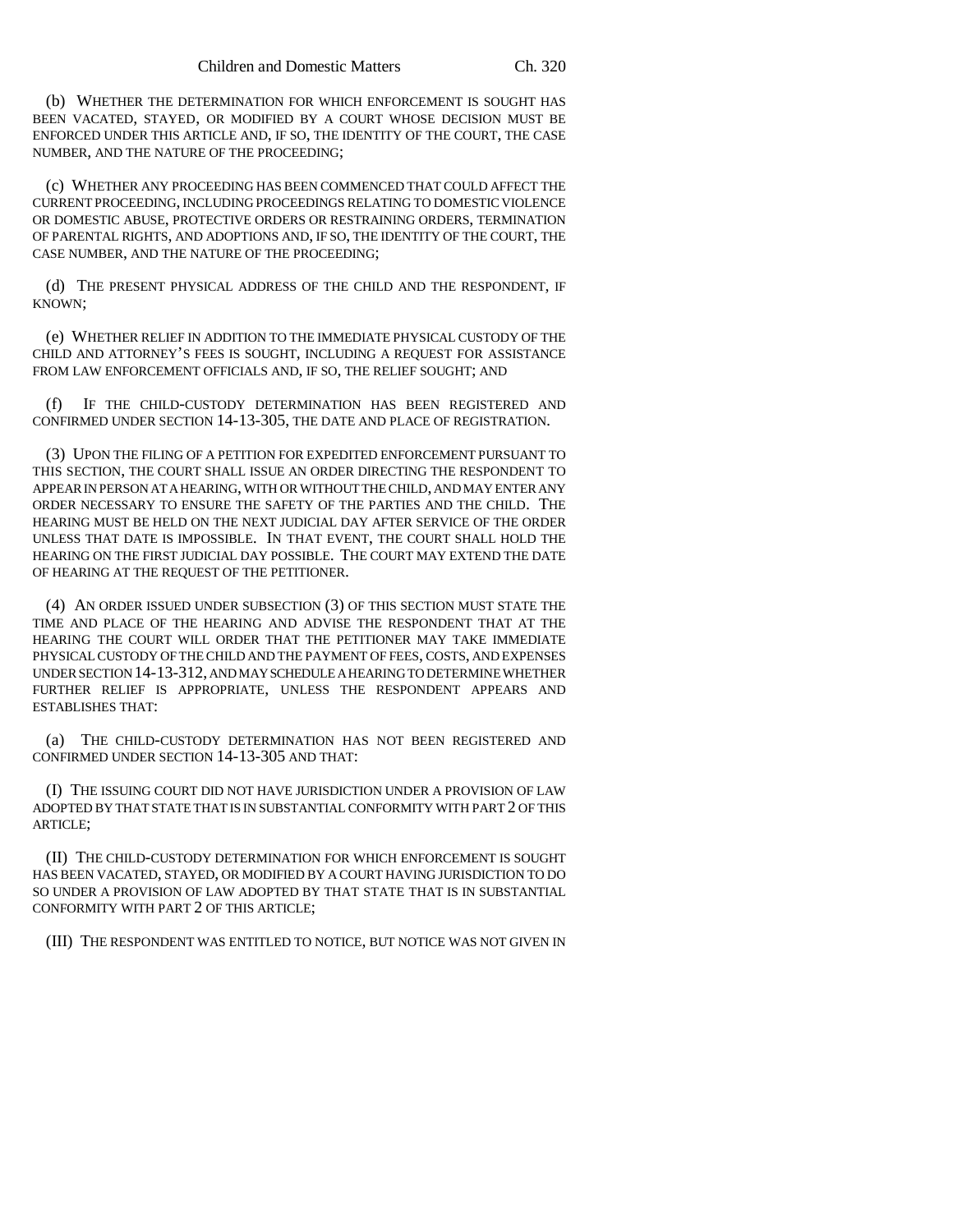(b) WHETHER THE DETERMINATION FOR WHICH ENFORCEMENT IS SOUGHT HAS BEEN VACATED, STAYED, OR MODIFIED BY A COURT WHOSE DECISION MUST BE ENFORCED UNDER THIS ARTICLE AND, IF SO, THE IDENTITY OF THE COURT, THE CASE NUMBER, AND THE NATURE OF THE PROCEEDING;

(c) WHETHER ANY PROCEEDING HAS BEEN COMMENCED THAT COULD AFFECT THE CURRENT PROCEEDING, INCLUDING PROCEEDINGS RELATING TO DOMESTIC VIOLENCE OR DOMESTIC ABUSE, PROTECTIVE ORDERS OR RESTRAINING ORDERS, TERMINATION OF PARENTAL RIGHTS, AND ADOPTIONS AND, IF SO, THE IDENTITY OF THE COURT, THE CASE NUMBER, AND THE NATURE OF THE PROCEEDING;

(d) THE PRESENT PHYSICAL ADDRESS OF THE CHILD AND THE RESPONDENT, IF KNOWN;

(e) WHETHER RELIEF IN ADDITION TO THE IMMEDIATE PHYSICAL CUSTODY OF THE CHILD AND ATTORNEY'S FEES IS SOUGHT, INCLUDING A REQUEST FOR ASSISTANCE FROM LAW ENFORCEMENT OFFICIALS AND, IF SO, THE RELIEF SOUGHT; AND

(f) IF THE CHILD-CUSTODY DETERMINATION HAS BEEN REGISTERED AND CONFIRMED UNDER SECTION 14-13-305, THE DATE AND PLACE OF REGISTRATION.

(3) UPON THE FILING OF A PETITION FOR EXPEDITED ENFORCEMENT PURSUANT TO THIS SECTION, THE COURT SHALL ISSUE AN ORDER DIRECTING THE RESPONDENT TO APPEAR IN PERSON AT A HEARING, WITH OR WITHOUT THE CHILD, AND MAY ENTER ANY ORDER NECESSARY TO ENSURE THE SAFETY OF THE PARTIES AND THE CHILD. THE HEARING MUST BE HELD ON THE NEXT JUDICIAL DAY AFTER SERVICE OF THE ORDER UNLESS THAT DATE IS IMPOSSIBLE. IN THAT EVENT, THE COURT SHALL HOLD THE HEARING ON THE FIRST JUDICIAL DAY POSSIBLE. THE COURT MAY EXTEND THE DATE OF HEARING AT THE REQUEST OF THE PETITIONER.

(4) AN ORDER ISSUED UNDER SUBSECTION (3) OF THIS SECTION MUST STATE THE TIME AND PLACE OF THE HEARING AND ADVISE THE RESPONDENT THAT AT THE HEARING THE COURT WILL ORDER THAT THE PETITIONER MAY TAKE IMMEDIATE PHYSICAL CUSTODY OF THE CHILD AND THE PAYMENT OF FEES, COSTS, AND EXPENSES UNDER SECTION 14-13-312, AND MAY SCHEDULE A HEARING TO DETERMINE WHETHER FURTHER RELIEF IS APPROPRIATE, UNLESS THE RESPONDENT APPEARS AND ESTABLISHES THAT:

(a) THE CHILD-CUSTODY DETERMINATION HAS NOT BEEN REGISTERED AND CONFIRMED UNDER SECTION 14-13-305 AND THAT:

(I) THE ISSUING COURT DID NOT HAVE JURISDICTION UNDER A PROVISION OF LAW ADOPTED BY THAT STATE THAT IS IN SUBSTANTIAL CONFORMITY WITH PART 2 OF THIS ARTICLE;

(II) THE CHILD-CUSTODY DETERMINATION FOR WHICH ENFORCEMENT IS SOUGHT HAS BEEN VACATED, STAYED, OR MODIFIED BY A COURT HAVING JURISDICTION TO DO SO UNDER A PROVISION OF LAW ADOPTED BY THAT STATE THAT IS IN SUBSTANTIAL CONFORMITY WITH PART 2 OF THIS ARTICLE;

(III) THE RESPONDENT WAS ENTITLED TO NOTICE, BUT NOTICE WAS NOT GIVEN IN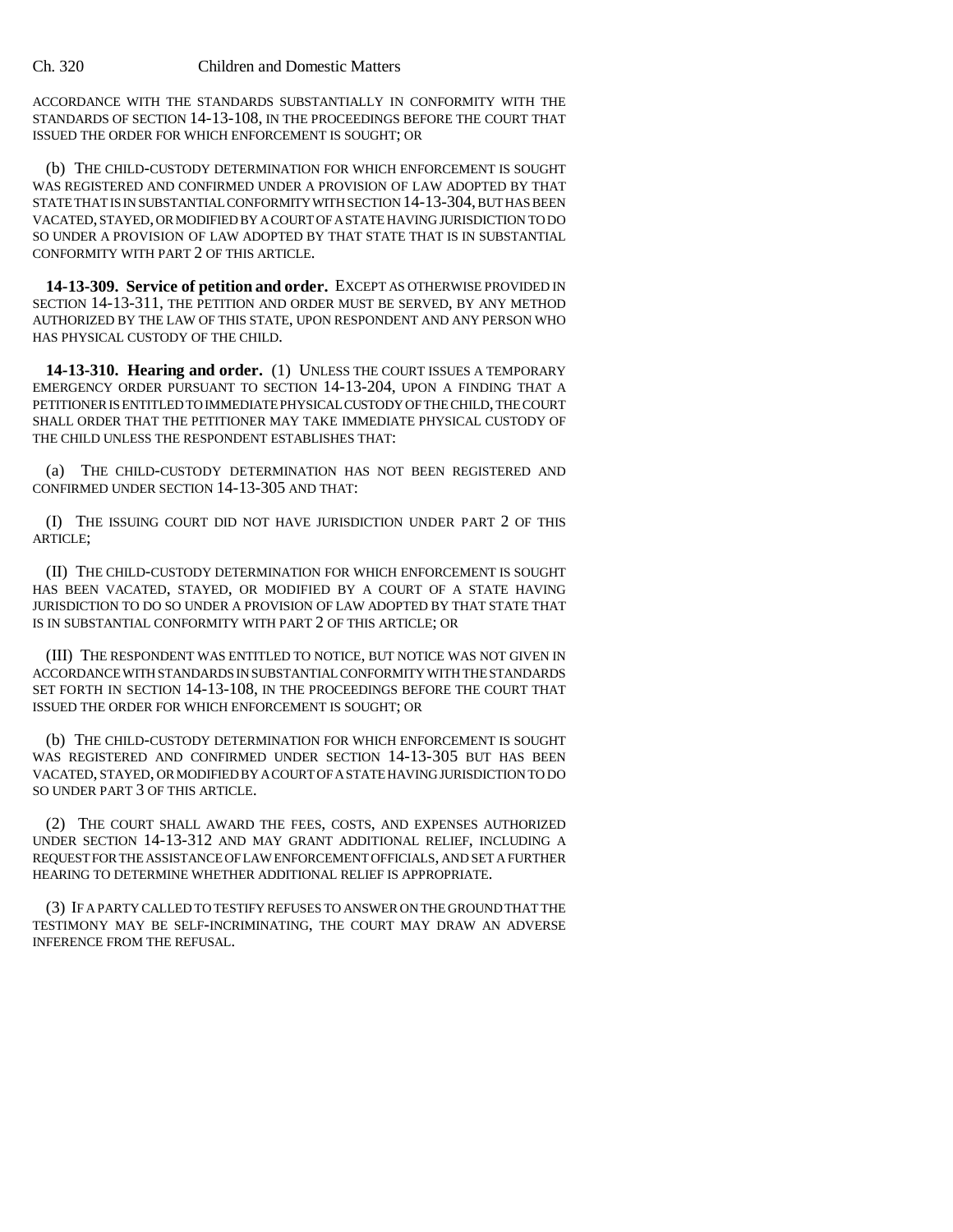#### Ch. 320 Children and Domestic Matters

ACCORDANCE WITH THE STANDARDS SUBSTANTIALLY IN CONFORMITY WITH THE STANDARDS OF SECTION 14-13-108, IN THE PROCEEDINGS BEFORE THE COURT THAT ISSUED THE ORDER FOR WHICH ENFORCEMENT IS SOUGHT; OR

(b) THE CHILD-CUSTODY DETERMINATION FOR WHICH ENFORCEMENT IS SOUGHT WAS REGISTERED AND CONFIRMED UNDER A PROVISION OF LAW ADOPTED BY THAT STATE THAT IS IN SUBSTANTIAL CONFORMITY WITH SECTION 14-13-304, BUT HAS BEEN VACATED, STAYED, OR MODIFIED BY A COURT OF A STATE HAVING JURISDICTION TO DO SO UNDER A PROVISION OF LAW ADOPTED BY THAT STATE THAT IS IN SUBSTANTIAL CONFORMITY WITH PART 2 OF THIS ARTICLE.

**14-13-309. Service of petition and order.** EXCEPT AS OTHERWISE PROVIDED IN SECTION 14-13-311, THE PETITION AND ORDER MUST BE SERVED, BY ANY METHOD AUTHORIZED BY THE LAW OF THIS STATE, UPON RESPONDENT AND ANY PERSON WHO HAS PHYSICAL CUSTODY OF THE CHILD.

**14-13-310. Hearing and order.** (1) UNLESS THE COURT ISSUES A TEMPORARY EMERGENCY ORDER PURSUANT TO SECTION 14-13-204, UPON A FINDING THAT A PETITIONER IS ENTITLED TO IMMEDIATE PHYSICAL CUSTODY OF THE CHILD, THE COURT SHALL ORDER THAT THE PETITIONER MAY TAKE IMMEDIATE PHYSICAL CUSTODY OF THE CHILD UNLESS THE RESPONDENT ESTABLISHES THAT:

(a) THE CHILD-CUSTODY DETERMINATION HAS NOT BEEN REGISTERED AND CONFIRMED UNDER SECTION 14-13-305 AND THAT:

(I) THE ISSUING COURT DID NOT HAVE JURISDICTION UNDER PART 2 OF THIS ARTICLE;

(II) THE CHILD-CUSTODY DETERMINATION FOR WHICH ENFORCEMENT IS SOUGHT HAS BEEN VACATED, STAYED, OR MODIFIED BY A COURT OF A STATE HAVING JURISDICTION TO DO SO UNDER A PROVISION OF LAW ADOPTED BY THAT STATE THAT IS IN SUBSTANTIAL CONFORMITY WITH PART 2 OF THIS ARTICLE; OR

(III) THE RESPONDENT WAS ENTITLED TO NOTICE, BUT NOTICE WAS NOT GIVEN IN ACCORDANCE WITH STANDARDS IN SUBSTANTIAL CONFORMITY WITH THE STANDARDS SET FORTH IN SECTION 14-13-108, IN THE PROCEEDINGS BEFORE THE COURT THAT ISSUED THE ORDER FOR WHICH ENFORCEMENT IS SOUGHT; OR

(b) THE CHILD-CUSTODY DETERMINATION FOR WHICH ENFORCEMENT IS SOUGHT WAS REGISTERED AND CONFIRMED UNDER SECTION 14-13-305 BUT HAS BEEN VACATED, STAYED, OR MODIFIED BY A COURT OF A STATE HAVING JURISDICTION TO DO SO UNDER PART 3 OF THIS ARTICLE.

(2) THE COURT SHALL AWARD THE FEES, COSTS, AND EXPENSES AUTHORIZED UNDER SECTION 14-13-312 AND MAY GRANT ADDITIONAL RELIEF, INCLUDING A REQUEST FOR THE ASSISTANCE OF LAW ENFORCEMENT OFFICIALS, AND SET A FURTHER HEARING TO DETERMINE WHETHER ADDITIONAL RELIEF IS APPROPRIATE.

(3) IF A PARTY CALLED TO TESTIFY REFUSES TO ANSWER ON THE GROUND THAT THE TESTIMONY MAY BE SELF-INCRIMINATING, THE COURT MAY DRAW AN ADVERSE INFERENCE FROM THE REFUSAL.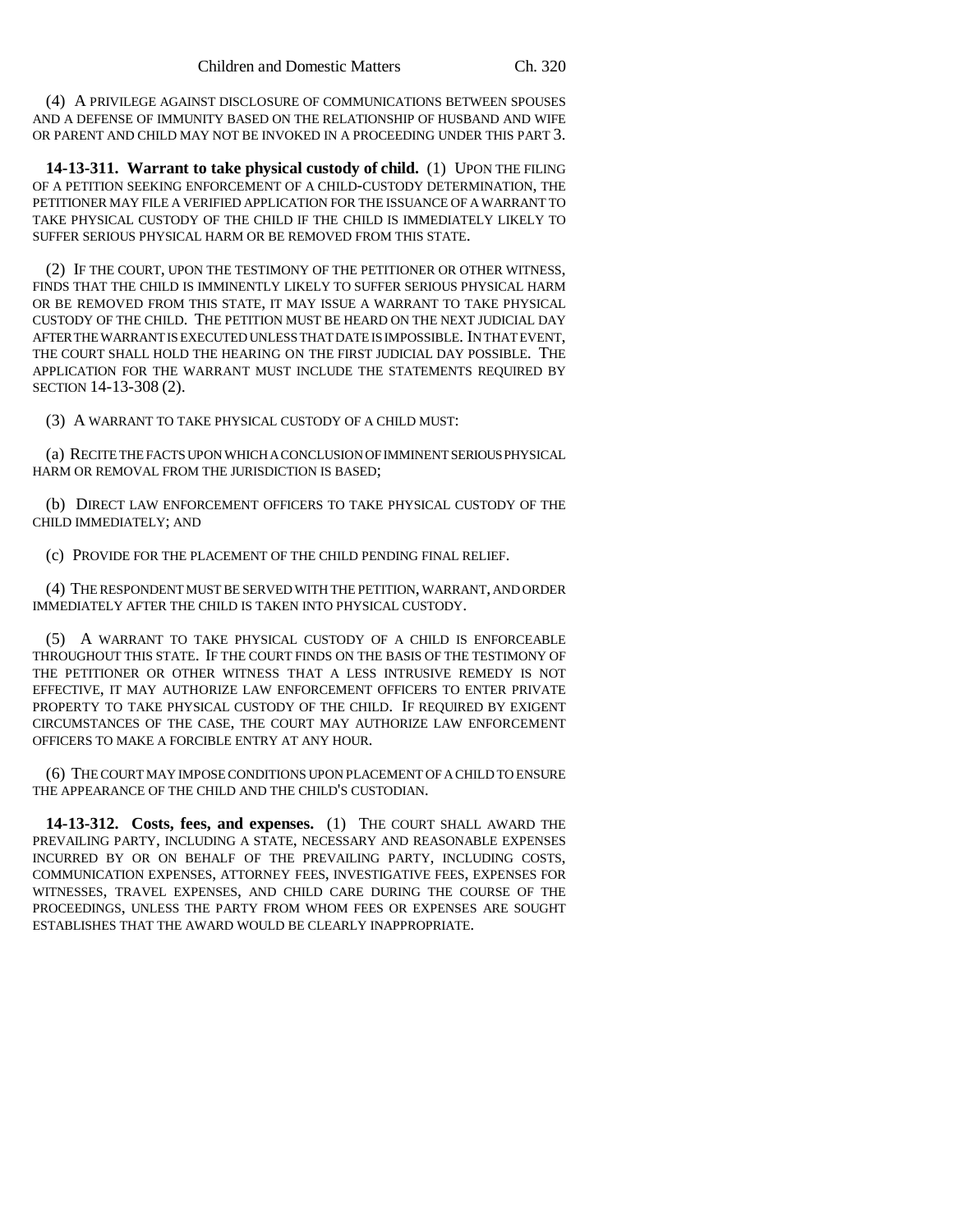(4) A PRIVILEGE AGAINST DISCLOSURE OF COMMUNICATIONS BETWEEN SPOUSES AND A DEFENSE OF IMMUNITY BASED ON THE RELATIONSHIP OF HUSBAND AND WIFE OR PARENT AND CHILD MAY NOT BE INVOKED IN A PROCEEDING UNDER THIS PART 3.

**14-13-311. Warrant to take physical custody of child.** (1) UPON THE FILING OF A PETITION SEEKING ENFORCEMENT OF A CHILD-CUSTODY DETERMINATION, THE PETITIONER MAY FILE A VERIFIED APPLICATION FOR THE ISSUANCE OF A WARRANT TO TAKE PHYSICAL CUSTODY OF THE CHILD IF THE CHILD IS IMMEDIATELY LIKELY TO SUFFER SERIOUS PHYSICAL HARM OR BE REMOVED FROM THIS STATE.

(2) IF THE COURT, UPON THE TESTIMONY OF THE PETITIONER OR OTHER WITNESS, FINDS THAT THE CHILD IS IMMINENTLY LIKELY TO SUFFER SERIOUS PHYSICAL HARM OR BE REMOVED FROM THIS STATE, IT MAY ISSUE A WARRANT TO TAKE PHYSICAL CUSTODY OF THE CHILD. THE PETITION MUST BE HEARD ON THE NEXT JUDICIAL DAY AFTER THE WARRANT IS EXECUTED UNLESS THAT DATE IS IMPOSSIBLE. IN THAT EVENT, THE COURT SHALL HOLD THE HEARING ON THE FIRST JUDICIAL DAY POSSIBLE. THE APPLICATION FOR THE WARRANT MUST INCLUDE THE STATEMENTS REQUIRED BY SECTION 14-13-308 (2).

(3) A WARRANT TO TAKE PHYSICAL CUSTODY OF A CHILD MUST:

(a) RECITE THE FACTS UPON WHICH A CONCLUSION OF IMMINENT SERIOUS PHYSICAL HARM OR REMOVAL FROM THE JURISDICTION IS BASED;

(b) DIRECT LAW ENFORCEMENT OFFICERS TO TAKE PHYSICAL CUSTODY OF THE CHILD IMMEDIATELY; AND

(c) PROVIDE FOR THE PLACEMENT OF THE CHILD PENDING FINAL RELIEF.

(4) THE RESPONDENT MUST BE SERVED WITH THE PETITION, WARRANT, AND ORDER IMMEDIATELY AFTER THE CHILD IS TAKEN INTO PHYSICAL CUSTODY.

(5) A WARRANT TO TAKE PHYSICAL CUSTODY OF A CHILD IS ENFORCEABLE THROUGHOUT THIS STATE. IF THE COURT FINDS ON THE BASIS OF THE TESTIMONY OF THE PETITIONER OR OTHER WITNESS THAT A LESS INTRUSIVE REMEDY IS NOT EFFECTIVE, IT MAY AUTHORIZE LAW ENFORCEMENT OFFICERS TO ENTER PRIVATE PROPERTY TO TAKE PHYSICAL CUSTODY OF THE CHILD. IF REQUIRED BY EXIGENT CIRCUMSTANCES OF THE CASE, THE COURT MAY AUTHORIZE LAW ENFORCEMENT OFFICERS TO MAKE A FORCIBLE ENTRY AT ANY HOUR.

(6) THE COURT MAY IMPOSE CONDITIONS UPON PLACEMENT OF A CHILD TO ENSURE THE APPEARANCE OF THE CHILD AND THE CHILD'S CUSTODIAN.

**14-13-312. Costs, fees, and expenses.** (1) THE COURT SHALL AWARD THE PREVAILING PARTY, INCLUDING A STATE, NECESSARY AND REASONABLE EXPENSES INCURRED BY OR ON BEHALF OF THE PREVAILING PARTY, INCLUDING COSTS, COMMUNICATION EXPENSES, ATTORNEY FEES, INVESTIGATIVE FEES, EXPENSES FOR WITNESSES, TRAVEL EXPENSES, AND CHILD CARE DURING THE COURSE OF THE PROCEEDINGS, UNLESS THE PARTY FROM WHOM FEES OR EXPENSES ARE SOUGHT ESTABLISHES THAT THE AWARD WOULD BE CLEARLY INAPPROPRIATE.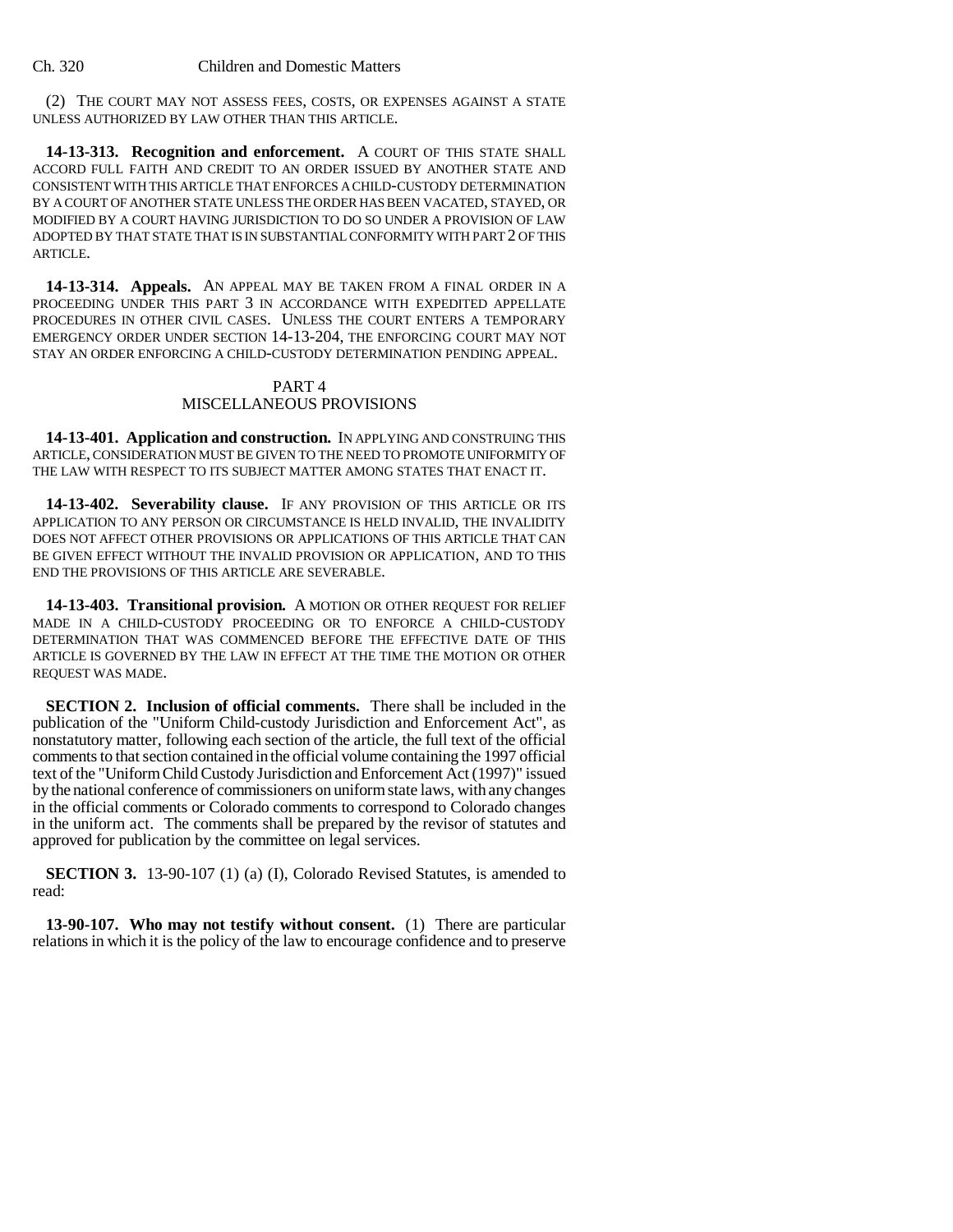(2) THE COURT MAY NOT ASSESS FEES, COSTS, OR EXPENSES AGAINST A STATE UNLESS AUTHORIZED BY LAW OTHER THAN THIS ARTICLE.

**14-13-313. Recognition and enforcement.** A COURT OF THIS STATE SHALL ACCORD FULL FAITH AND CREDIT TO AN ORDER ISSUED BY ANOTHER STATE AND CONSISTENT WITH THIS ARTICLE THAT ENFORCES A CHILD-CUSTODY DETERMINATION BY A COURT OF ANOTHER STATE UNLESS THE ORDER HAS BEEN VACATED, STAYED, OR MODIFIED BY A COURT HAVING JURISDICTION TO DO SO UNDER A PROVISION OF LAW ADOPTED BY THAT STATE THAT IS IN SUBSTANTIAL CONFORMITY WITH PART 2 OF THIS ARTICLE.

**14-13-314. Appeals.** AN APPEAL MAY BE TAKEN FROM A FINAL ORDER IN A PROCEEDING UNDER THIS PART 3 IN ACCORDANCE WITH EXPEDITED APPELLATE PROCEDURES IN OTHER CIVIL CASES. UNLESS THE COURT ENTERS A TEMPORARY EMERGENCY ORDER UNDER SECTION 14-13-204, THE ENFORCING COURT MAY NOT STAY AN ORDER ENFORCING A CHILD-CUSTODY DETERMINATION PENDING APPEAL.

### PART 4 MISCELLANEOUS PROVISIONS

**14-13-401. Application and construction.** IN APPLYING AND CONSTRUING THIS ARTICLE, CONSIDERATION MUST BE GIVEN TO THE NEED TO PROMOTE UNIFORMITY OF THE LAW WITH RESPECT TO ITS SUBJECT MATTER AMONG STATES THAT ENACT IT.

**14-13-402. Severability clause.** IF ANY PROVISION OF THIS ARTICLE OR ITS APPLICATION TO ANY PERSON OR CIRCUMSTANCE IS HELD INVALID, THE INVALIDITY DOES NOT AFFECT OTHER PROVISIONS OR APPLICATIONS OF THIS ARTICLE THAT CAN BE GIVEN EFFECT WITHOUT THE INVALID PROVISION OR APPLICATION, AND TO THIS END THE PROVISIONS OF THIS ARTICLE ARE SEVERABLE.

**14-13-403. Transitional provision.** A MOTION OR OTHER REQUEST FOR RELIEF MADE IN A CHILD-CUSTODY PROCEEDING OR TO ENFORCE A CHILD-CUSTODY DETERMINATION THAT WAS COMMENCED BEFORE THE EFFECTIVE DATE OF THIS ARTICLE IS GOVERNED BY THE LAW IN EFFECT AT THE TIME THE MOTION OR OTHER REQUEST WAS MADE.

**SECTION 2. Inclusion of official comments.** There shall be included in the publication of the "Uniform Child-custody Jurisdiction and Enforcement Act", as nonstatutory matter, following each section of the article, the full text of the official comments to that section contained in the official volume containing the 1997 official text of the "Uniform Child Custody Jurisdiction and Enforcement Act (1997)" issued by the national conference of commissioners on uniform state laws, with any changes in the official comments or Colorado comments to correspond to Colorado changes in the uniform act. The comments shall be prepared by the revisor of statutes and approved for publication by the committee on legal services.

**SECTION 3.** 13-90-107 (1) (a) (I), Colorado Revised Statutes, is amended to read:

**13-90-107. Who may not testify without consent.** (1) There are particular relations in which it is the policy of the law to encourage confidence and to preserve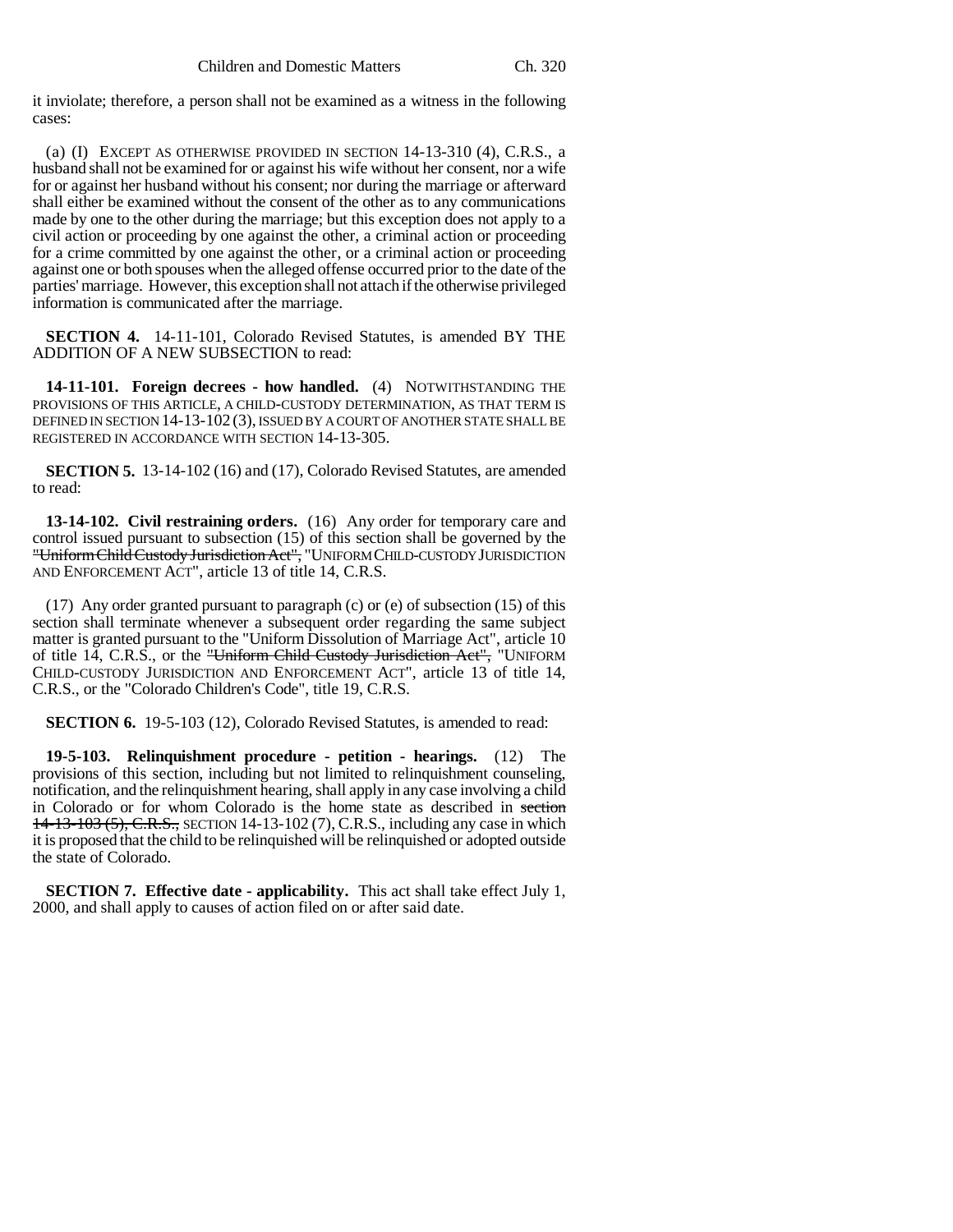it inviolate; therefore, a person shall not be examined as a witness in the following cases:

(a) (I) EXCEPT AS OTHERWISE PROVIDED IN SECTION 14-13-310 (4), C.R.S., a husband shall not be examined for or against his wife without her consent, nor a wife for or against her husband without his consent; nor during the marriage or afterward shall either be examined without the consent of the other as to any communications made by one to the other during the marriage; but this exception does not apply to a civil action or proceeding by one against the other, a criminal action or proceeding for a crime committed by one against the other, or a criminal action or proceeding against one or both spouses when the alleged offense occurred prior to the date of the parties' marriage. However, this exception shall not attach if the otherwise privileged information is communicated after the marriage.

**SECTION 4.** 14-11-101, Colorado Revised Statutes, is amended BY THE ADDITION OF A NEW SUBSECTION to read:

**14-11-101. Foreign decrees - how handled.** (4) NOTWITHSTANDING THE PROVISIONS OF THIS ARTICLE, A CHILD-CUSTODY DETERMINATION, AS THAT TERM IS DEFINED IN SECTION 14-13-102 (3), ISSUED BY A COURT OF ANOTHER STATE SHALL BE REGISTERED IN ACCORDANCE WITH SECTION 14-13-305.

**SECTION 5.** 13-14-102 (16) and (17), Colorado Revised Statutes, are amended to read:

**13-14-102. Civil restraining orders.** (16) Any order for temporary care and control issued pursuant to subsection (15) of this section shall be governed by the "Uniform Child Custody Jurisdiction Act", "UNIFORM CHILD-CUSTODY JURISDICTION AND ENFORCEMENT ACT", article 13 of title 14, C.R.S.

(17) Any order granted pursuant to paragraph (c) or (e) of subsection (15) of this section shall terminate whenever a subsequent order regarding the same subject matter is granted pursuant to the "Uniform Dissolution of Marriage Act", article 10 of title 14, C.R.S., or the "Uniform Child Custody Jurisdiction Act", "UNIFORM CHILD-CUSTODY JURISDICTION AND ENFORCEMENT ACT", article 13 of title 14, C.R.S., or the "Colorado Children's Code", title 19, C.R.S.

**SECTION 6.** 19-5-103 (12), Colorado Revised Statutes, is amended to read:

**19-5-103. Relinquishment procedure - petition - hearings.** (12) The provisions of this section, including but not limited to relinquishment counseling, notification, and the relinquishment hearing, shall apply in any case involving a child in Colorado or for whom Colorado is the home state as described in section 14-13-103 (5), C.R.S., SECTION 14-13-102 (7), C.R.S., including any case in which it is proposed that the child to be relinquished will be relinquished or adopted outside the state of Colorado.

**SECTION 7. Effective date - applicability.** This act shall take effect July 1, 2000, and shall apply to causes of action filed on or after said date.